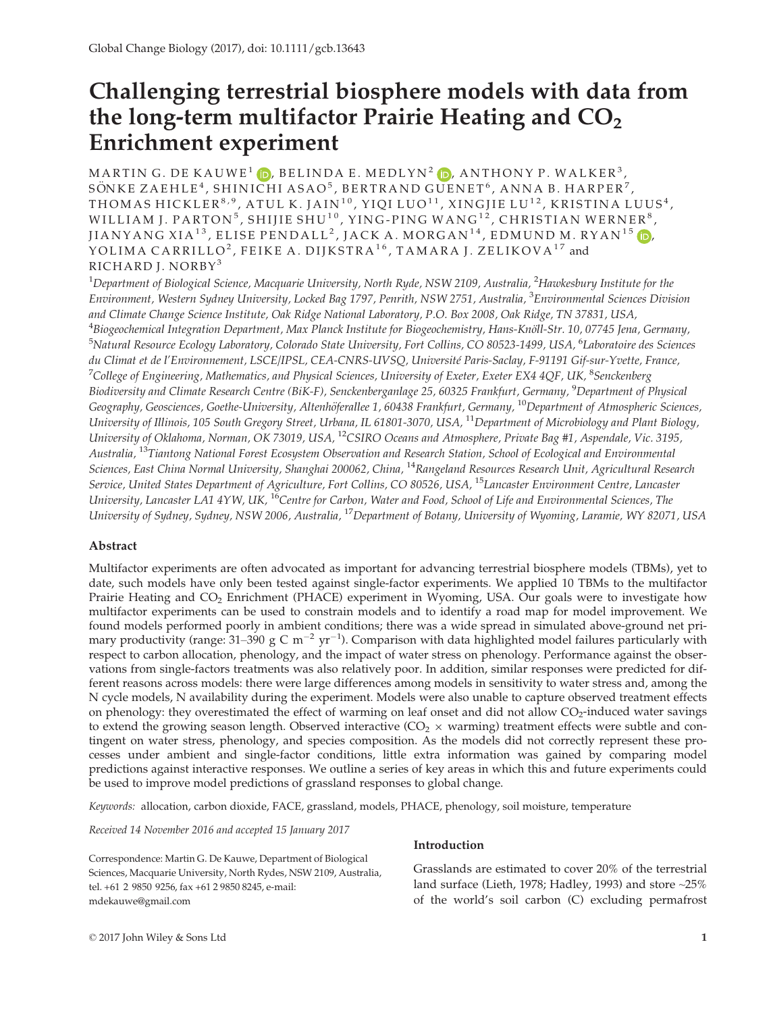# Challenging terrestrial biosphere models with data from the long-term multifactor Prairie Heating and  $CO<sub>2</sub>$ Enrichment experiment

MARTIN G. DE KAUWE<sup>1</sup>  $\bullet$ , BELINDA E. MEDLYN<sup>2</sup>  $\bullet$ , ANTHONY P. WALKER<sup>3</sup>, SÖNKE ZAEHLE $^4$ , SHINICHI ASAO $^5$ , BERTRAND GUENET $^6$ , ANNA B. HARPER $^7$ , THOMAS HICKLER $^{\text{8,9}}$ , ATUL K. JAIN $^{\text{10}}$ , YIQI LUO $^{\text{11}}$ , XINGJIE LU $^{\text{12}}$ , KRISTINA LUUS $^{\text{4}}$ , WILLIAM J. PARTON $^5$ , SHIJIE SHU $^{10}$ , YING-PING WANG $^{12}$ , CHRISTIAN WERNER $^8$ , JIANYANG XIA<sup>13</sup>, ELISE PENDALL<sup>2</sup>, JACK A. MORGAN<sup>14</sup>, EDMUND M. RYAN<sup>15</sup> (D<mark>,</mark> YOLIMA CARRILLO<sup>2</sup>, FEIKE A. DIJKSTRA<sup>16</sup>, TAMARA J. ZELIKOVA<sup>17</sup> and RICHARD J. NORBY<sup>3</sup>

 $^{\rm 1}$ Department of Biological Science, Macquarie University, North Ryde, NSW 2109, Australia,  $^{\rm 2}$ Hawkesbury Institute for the Environment, Western Sydney University, Locked Bag 1797, Penrith, NSW 2751, Australia, <sup>3</sup>Environmental Sciences Division and Climate Change Science Institute, Oak Ridge National Laboratory, P.O. Box 2008, Oak Ridge, TN 37831, USA, <sup>4</sup>Biogeochemical Integration Department, Max Planck Institute for Biogeochemistry, Hans-Knöll-Str. 10, 07745 Jena, Germany, <sup>5</sup>Natural Resource Ecology Laboratory, Colorado State University, Fort Collins, CO 80523-1499, USA, <sup>6</sup>Laboratoire des Sciences du Climat et de l'Environnement, LSCE/IPSL, CEA-CNRS-UVSQ, Université Paris-Saclay, F-91191 Gif-sur-Yvette, France, <sup>7</sup>College of Engineering, Mathematics, and Physical Sciences, University of Exeter, Exeter EX4 4QF, UK,  $^8$ Senckenberg Biodiversity and Climate Research Centre (BiK-F), Senckenberganlage 25, 60325 Frankfurt, Germany, <sup>9</sup>Department of Physical Geography, Geosciences, Goethe-University, Altenhöferallee 1, 60438 Frankfurt, Germany, <sup>10</sup>Department of Atmospheric Sciences, University of Illinois, 105 South Gregory Street, Urbana, IL 61801-3070, USA, <sup>11</sup>Department of Microbiology and Plant Biology, University of Oklahoma, Norman, OK 73019, USA, <sup>12</sup>CSIRO Oceans and Atmosphere, Private Bag #1, Aspendale, Vic. 3195, Australia, <sup>13</sup>Tiantong National Forest Ecosystem Observation and Research Station, School of Ecological and Environmental Sciences, East China Normal University, Shanghai 200062, China, <sup>14</sup>Rangeland Resources Research Unit, Agricultural Research Service, United States Department of Agriculture, Fort Collins, CO 80526, USA, <sup>15</sup>Lancaster Environment Centre, Lancaster University, Lancaster LA1 4YW, UK, <sup>16</sup>Centre for Carbon, Water and Food, School of Life and Environmental Sciences, The University of Sydney, Sydney, NSW 2006, Australia, <sup>17</sup>Department of Botany, University of Wyoming, Laramie, WY 82071, USA

# Abstract

Multifactor experiments are often advocated as important for advancing terrestrial biosphere models (TBMs), yet to date, such models have only been tested against single-factor experiments. We applied 10 TBMs to the multifactor Prairie Heating and CO<sub>2</sub> Enrichment (PHACE) experiment in Wyoming, USA. Our goals were to investigate how multifactor experiments can be used to constrain models and to identify a road map for model improvement. We found models performed poorly in ambient conditions; there was a wide spread in simulated above-ground net primary productivity (range: 31–390 g C m<sup>-2</sup> yr<sup>-1</sup>). Comparison with data highlighted model failures particularly with respect to carbon allocation, phenology, and the impact of water stress on phenology. Performance against the observations from single-factors treatments was also relatively poor. In addition, similar responses were predicted for different reasons across models: there were large differences among models in sensitivity to water stress and, among the N cycle models, N availability during the experiment. Models were also unable to capture observed treatment effects on phenology: they overestimated the effect of warming on leaf onset and did not allow  $CO<sub>2</sub>$ -induced water savings to extend the growing season length. Observed interactive  $(CO<sub>2</sub> \times \text{warming})$  treatment effects were subtle and contingent on water stress, phenology, and species composition. As the models did not correctly represent these processes under ambient and single-factor conditions, little extra information was gained by comparing model predictions against interactive responses. We outline a series of key areas in which this and future experiments could be used to improve model predictions of grassland responses to global change.

Keywords: allocation, carbon dioxide, FACE, grassland, models, PHACE, phenology, soil moisture, temperature

Received 14 November 2016 and accepted 15 January 2017

Correspondence: Martin G. De Kauwe, Department of Biological Sciences, Macquarie University, North Rydes, NSW 2109, Australia, tel. +61 2 9850 9256, fax +61 2 9850 8245, e-mail: mdekauwe@gmail.com

# Introduction

Grasslands are estimated to cover 20% of the terrestrial land surface (Lieth, 1978; Hadley, 1993) and store ~25% of the world's soil carbon (C) excluding permafrost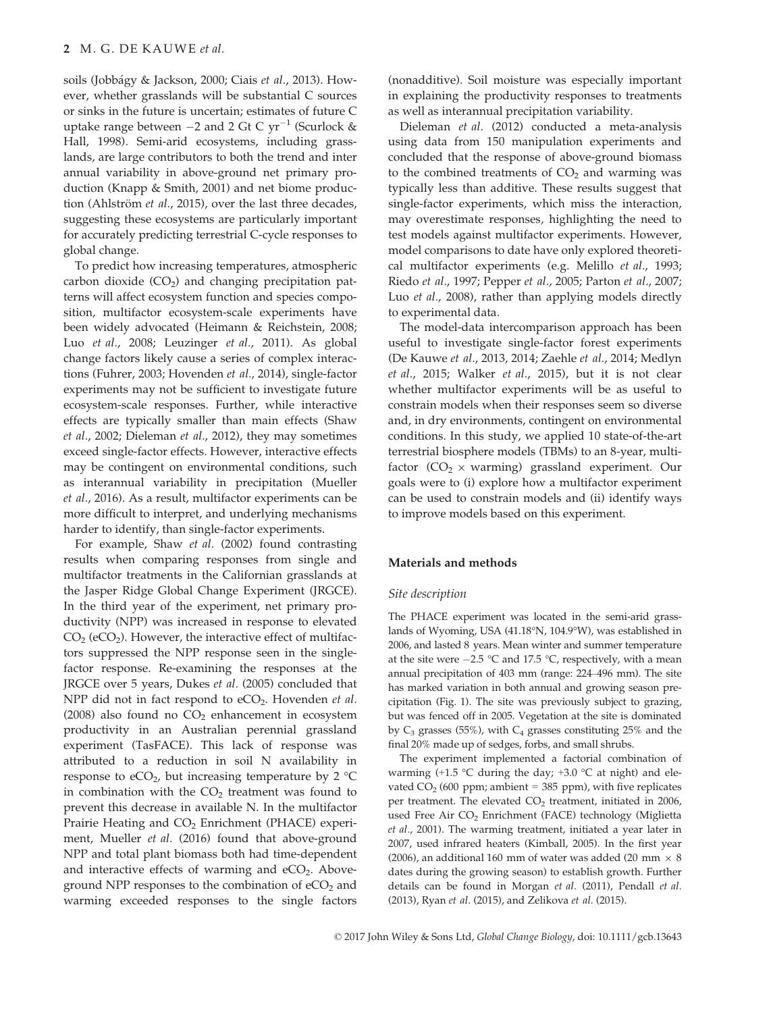soils (Jobbágy & Jackson, 2000; Ciais *et al.,* 2013). However, whether grasslands will be substantial C sources or sinks in the future is uncertain; estimates of future C uptake range between  $-2$  and 2 Gt C yr<sup>-1</sup> (Scurlock & Hall, 1998). Semi-arid ecosystems, including grasslands, are large contributors to both the trend and inter annual variability in above-ground net primary production (Knapp & Smith, 2001) and net biome production (Ahlström et al., 2015), over the last three decades, suggesting these ecosystems are particularly important for accurately predicting terrestrial C-cycle responses to global change.

To predict how increasing temperatures, atmospheric carbon dioxide  $(CO<sub>2</sub>)$  and changing precipitation patterns will affect ecosystem function and species composition, multifactor ecosystem-scale experiments have been widely advocated (Heimann & Reichstein, 2008; Luo et al., 2008; Leuzinger et al., 2011). As global change factors likely cause a series of complex interactions (Fuhrer, 2003; Hovenden et al., 2014), single-factor experiments may not be sufficient to investigate future ecosystem-scale responses. Further, while interactive effects are typically smaller than main effects (Shaw et al., 2002; Dieleman et al., 2012), they may sometimes exceed single-factor effects. However, interactive effects may be contingent on environmental conditions, such as interannual variability in precipitation (Mueller et al., 2016). As a result, multifactor experiments can be more difficult to interpret, and underlying mechanisms harder to identify, than single-factor experiments.

For example, Shaw et al. (2002) found contrasting results when comparing responses from single and multifactor treatments in the Californian grasslands at the Jasper Ridge Global Change Experiment (JRGCE). In the third year of the experiment, net primary productivity (NPP) was increased in response to elevated  $CO<sub>2</sub>$  (eCO<sub>2</sub>). However, the interactive effect of multifactors suppressed the NPP response seen in the singlefactor response. Re-examining the responses at the JRGCE over 5 years, Dukes et al. (2005) concluded that NPP did not in fact respond to  $eCO<sub>2</sub>$ . Hovenden *et al.* (2008) also found no  $CO<sub>2</sub>$  enhancement in ecosystem productivity in an Australian perennial grassland experiment (TasFACE). This lack of response was attributed to a reduction in soil N availability in response to eCO<sub>2</sub>, but increasing temperature by 2  $^{\circ}$ C in combination with the  $CO<sub>2</sub>$  treatment was found to prevent this decrease in available N. In the multifactor Prairie Heating and  $CO<sub>2</sub>$  Enrichment (PHACE) experiment, Mueller et al. (2016) found that above-ground NPP and total plant biomass both had time-dependent and interactive effects of warming and  $eCO<sub>2</sub>$ . Aboveground NPP responses to the combination of  $eCO<sub>2</sub>$  and warming exceeded responses to the single factors (nonadditive). Soil moisture was especially important in explaining the productivity responses to treatments as well as interannual precipitation variability.

Dieleman et al. (2012) conducted a meta-analysis using data from 150 manipulation experiments and concluded that the response of above-ground biomass to the combined treatments of  $CO<sub>2</sub>$  and warming was typically less than additive. These results suggest that single-factor experiments, which miss the interaction, may overestimate responses, highlighting the need to test models against multifactor experiments. However, model comparisons to date have only explored theoretical multifactor experiments (e.g. Melillo et al., 1993; Riedo et al., 1997; Pepper et al., 2005; Parton et al., 2007; Luo et al., 2008), rather than applying models directly to experimental data.

The model-data intercomparison approach has been useful to investigate single-factor forest experiments (De Kauwe et al., 2013, 2014; Zaehle et al., 2014; Medlyn et al., 2015; Walker et al., 2015), but it is not clear whether multifactor experiments will be as useful to constrain models when their responses seem so diverse and, in dry environments, contingent on environmental conditions. In this study, we applied 10 state-of-the-art terrestrial biosphere models (TBMs) to an 8-year, multifactor ( $CO<sub>2</sub> \times warning$ ) grassland experiment. Our goals were to (i) explore how a multifactor experiment can be used to constrain models and (ii) identify ways to improve models based on this experiment.

#### Materials and methods

#### Site description

The PHACE experiment was located in the semi-arid grasslands of Wyoming, USA (41.18°N, 104.9°W), was established in 2006, and lasted 8 years. Mean winter and summer temperature at the site were  $-2.5$  °C and 17.5 °C, respectively, with a mean annual precipitation of 403 mm (range: 224–496 mm). The site has marked variation in both annual and growing season precipitation (Fig. 1). The site was previously subject to grazing, but was fenced off in 2005. Vegetation at the site is dominated by  $C_3$  grasses (55%), with  $C_4$  grasses constituting 25% and the final 20% made up of sedges, forbs, and small shrubs.

The experiment implemented a factorial combination of warming  $(+1.5 \degree C$  during the day;  $+3.0 \degree C$  at night) and elevated  $CO<sub>2</sub>$  (600 ppm; ambient = 385 ppm), with five replicates per treatment. The elevated  $CO<sub>2</sub>$  treatment, initiated in 2006, used Free Air CO<sub>2</sub> Enrichment (FACE) technology (Miglietta et al., 2001). The warming treatment, initiated a year later in 2007, used infrared heaters (Kimball, 2005). In the first year (2006), an additional 160 mm of water was added (20 mm  $\times$  8 dates during the growing season) to establish growth. Further details can be found in Morgan et al. (2011), Pendall et al. (2013), Ryan et al. (2015), and Zelikova et al. (2015).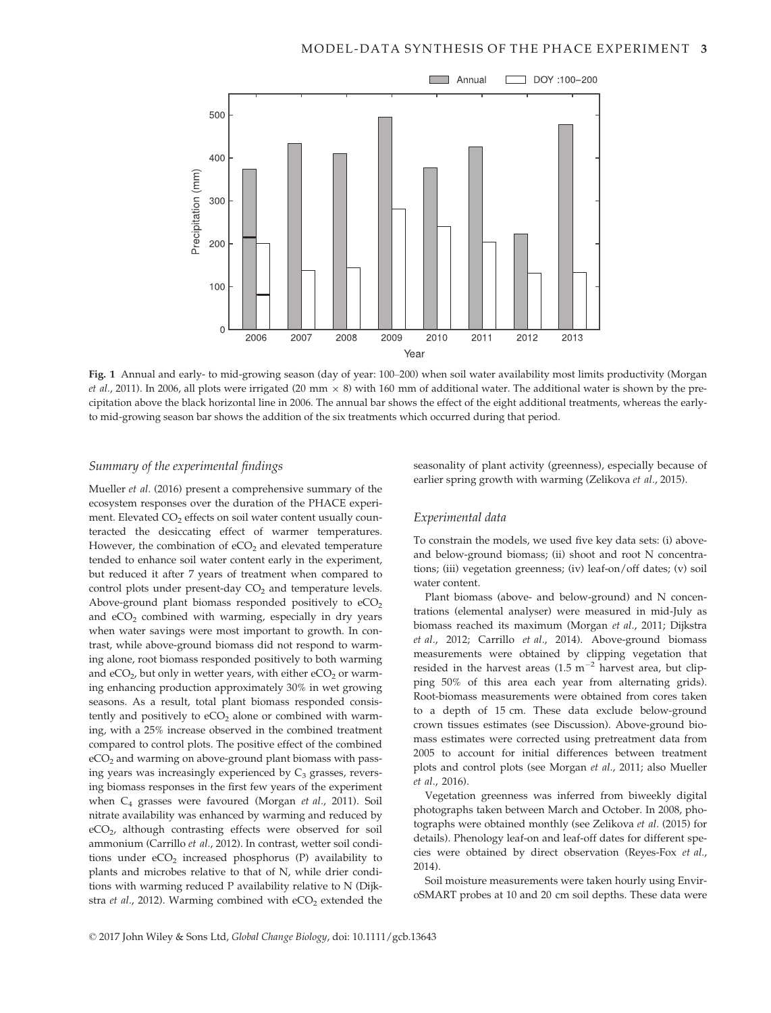

Fig. 1 Annual and early- to mid-growing season (day of year: 100–200) when soil water availability most limits productivity (Morgan et al., 2011). In 2006, all plots were irrigated (20 mm  $\times$  8) with 160 mm of additional water. The additional water is shown by the precipitation above the black horizontal line in 2006. The annual bar shows the effect of the eight additional treatments, whereas the earlyto mid-growing season bar shows the addition of the six treatments which occurred during that period.

# Summary of the experimental findings

Mueller et al. (2016) present a comprehensive summary of the ecosystem responses over the duration of the PHACE experiment. Elevated  $CO<sub>2</sub>$  effects on soil water content usually counteracted the desiccating effect of warmer temperatures. However, the combination of  $eCO<sub>2</sub>$  and elevated temperature tended to enhance soil water content early in the experiment, but reduced it after 7 years of treatment when compared to control plots under present-day  $CO<sub>2</sub>$  and temperature levels. Above-ground plant biomass responded positively to  $eCO<sub>2</sub>$ and  $eCO<sub>2</sub>$  combined with warming, especially in dry years when water savings were most important to growth. In contrast, while above-ground biomass did not respond to warming alone, root biomass responded positively to both warming and  $eCO<sub>2</sub>$ , but only in wetter years, with either  $eCO<sub>2</sub>$  or warming enhancing production approximately 30% in wet growing seasons. As a result, total plant biomass responded consistently and positively to  $eCO<sub>2</sub>$  alone or combined with warming, with a 25% increase observed in the combined treatment compared to control plots. The positive effect of the combined eCO<sub>2</sub> and warming on above-ground plant biomass with passing years was increasingly experienced by  $C_3$  grasses, reversing biomass responses in the first few years of the experiment when C4 grasses were favoured (Morgan et al., 2011). Soil nitrate availability was enhanced by warming and reduced by eCO2, although contrasting effects were observed for soil ammonium (Carrillo et al., 2012). In contrast, wetter soil conditions under  $eCO<sub>2</sub>$  increased phosphorus (P) availability to plants and microbes relative to that of N, while drier conditions with warming reduced P availability relative to N (Dijkstra et al., 2012). Warming combined with  $eCO<sub>2</sub>$  extended the seasonality of plant activity (greenness), especially because of earlier spring growth with warming (Zelikova et al., 2015).

# Experimental data

To constrain the models, we used five key data sets: (i) aboveand below-ground biomass; (ii) shoot and root N concentrations; (iii) vegetation greenness; (iv) leaf-on/off dates; (v) soil water content.

Plant biomass (above- and below-ground) and N concentrations (elemental analyser) were measured in mid-July as biomass reached its maximum (Morgan et al., 2011; Dijkstra et al., 2012; Carrillo et al., 2014). Above-ground biomass measurements were obtained by clipping vegetation that resided in the harvest areas  $(1.5 \text{ m}^{-2}$  harvest area, but clipping 50% of this area each year from alternating grids). Root-biomass measurements were obtained from cores taken to a depth of 15 cm. These data exclude below-ground crown tissues estimates (see Discussion). Above-ground biomass estimates were corrected using pretreatment data from 2005 to account for initial differences between treatment plots and control plots (see Morgan et al., 2011; also Mueller et al., 2016).

Vegetation greenness was inferred from biweekly digital photographs taken between March and October. In 2008, photographs were obtained monthly (see Zelikova et al. (2015) for details). Phenology leaf-on and leaf-off dates for different species were obtained by direct observation (Reyes-Fox et al., 2014).

Soil moisture measurements were taken hourly using EnviroSMART probes at 10 and 20 cm soil depths. These data were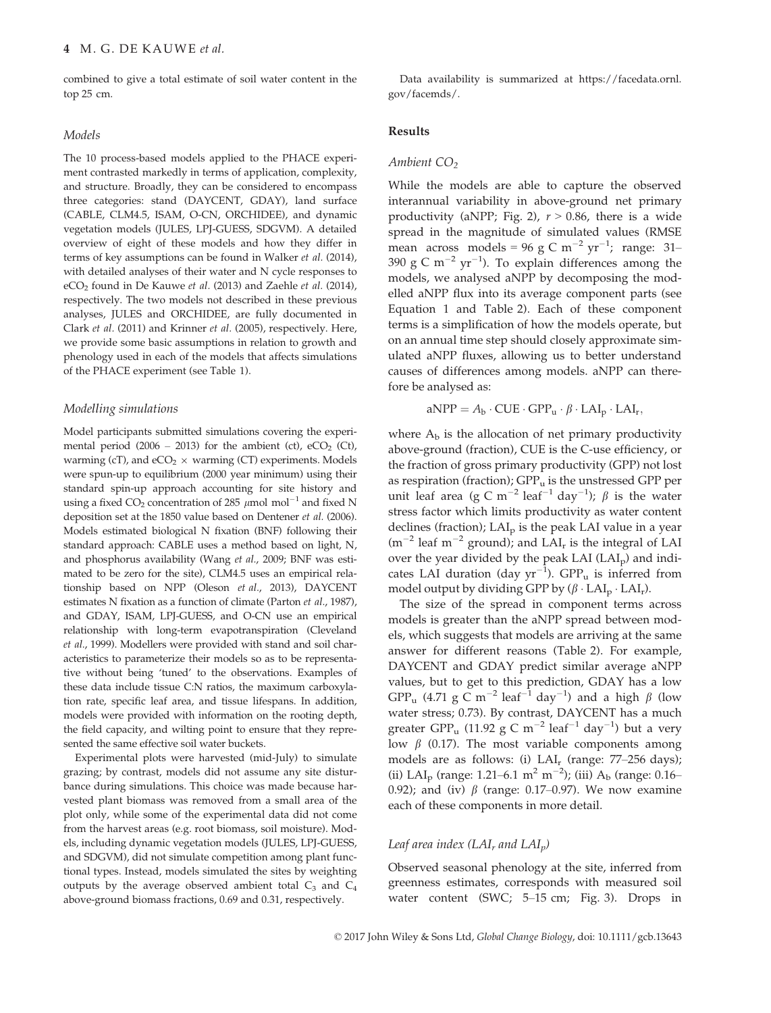combined to give a total estimate of soil water content in the top 25 cm.

#### Models

The 10 process-based models applied to the PHACE experiment contrasted markedly in terms of application, complexity, and structure. Broadly, they can be considered to encompass three categories: stand (DAYCENT, GDAY), land surface (CABLE, CLM4.5, ISAM, O-CN, ORCHIDEE), and dynamic vegetation models (JULES, LPJ-GUESS, SDGVM). A detailed overview of eight of these models and how they differ in terms of key assumptions can be found in Walker et al. (2014), with detailed analyses of their water and N cycle responses to eCO2 found in De Kauwe et al. (2013) and Zaehle et al. (2014), respectively. The two models not described in these previous analyses, JULES and ORCHIDEE, are fully documented in Clark et al. (2011) and Krinner et al. (2005), respectively. Here, we provide some basic assumptions in relation to growth and phenology used in each of the models that affects simulations of the PHACE experiment (see Table 1).

## Modelling simulations

Model participants submitted simulations covering the experimental period (2006 – 2013) for the ambient (ct),  $eCO<sub>2</sub>$  (Ct), warming (cT), and  $eCO<sub>2</sub> \times$  warming (CT) experiments. Models were spun-up to equilibrium (2000 year minimum) using their standard spin-up approach accounting for site history and using a fixed  $CO_2$  concentration of 285  $\mu$ mol mol<sup>-1</sup> and fixed N deposition set at the 1850 value based on Dentener et al. (2006). Models estimated biological N fixation (BNF) following their standard approach: CABLE uses a method based on light, N, and phosphorus availability (Wang et al., 2009; BNF was estimated to be zero for the site), CLM4.5 uses an empirical relationship based on NPP (Oleson et al., 2013), DAYCENT estimates N fixation as a function of climate (Parton et al., 1987), and GDAY, ISAM, LPJ-GUESS, and O-CN use an empirical relationship with long-term evapotranspiration (Cleveland et al., 1999). Modellers were provided with stand and soil characteristics to parameterize their models so as to be representative without being 'tuned' to the observations. Examples of these data include tissue C:N ratios, the maximum carboxylation rate, specific leaf area, and tissue lifespans. In addition, models were provided with information on the rooting depth, the field capacity, and wilting point to ensure that they represented the same effective soil water buckets.

Experimental plots were harvested (mid-July) to simulate grazing; by contrast, models did not assume any site disturbance during simulations. This choice was made because harvested plant biomass was removed from a small area of the plot only, while some of the experimental data did not come from the harvest areas (e.g. root biomass, soil moisture). Models, including dynamic vegetation models (JULES, LPJ-GUESS, and SDGVM), did not simulate competition among plant functional types. Instead, models simulated the sites by weighting outputs by the average observed ambient total  $C_3$  and  $C_4$ above-ground biomass fractions, 0.69 and 0.31, respectively.

Data availability is summarized at [https://facedata.ornl.](https://facedata.ornl.gov/facemds/) [gov/facemds/](https://facedata.ornl.gov/facemds/).

#### Results

#### Ambient  $CO<sub>2</sub>$

While the models are able to capture the observed interannual variability in above-ground net primary productivity (aNPP; Fig. 2),  $r > 0.86$ , there is a wide spread in the magnitude of simulated values (RMSE mean across models = 96 g C m<sup>-2</sup> yr<sup>-1</sup>; range: 31-390 g C  $\mathrm{m}^{-2}$  yr $^{-1}$ ). To explain differences among the models, we analysed aNPP by decomposing the modelled aNPP flux into its average component parts (see Equation 1 and Table 2). Each of these component terms is a simplification of how the models operate, but on an annual time step should closely approximate simulated aNPP fluxes, allowing us to better understand causes of differences among models. aNPP can therefore be analysed as:

$$
aNPP = A_{b} \cdot CUE \cdot GPP_{u} \cdot \beta \cdot LAI_{p} \cdot LAI_{r},
$$

where  $A<sub>b</sub>$  is the allocation of net primary productivity above-ground (fraction), CUE is the C-use efficiency, or the fraction of gross primary productivity (GPP) not lost as respiration (fraction);  $GPP_u$  is the unstressed GPP per unit leaf area (g C m<sup>-2</sup> leaf<sup>-1</sup> day<sup>-1</sup>);  $\beta$  is the water stress factor which limits productivity as water content declines (fraction);  $LAI_p$  is the peak LAI value in a year  $(m^{-2}$  leaf m<sup>-2</sup> ground); and LAI<sub>r</sub> is the integral of LAI over the year divided by the peak LAI (LAI<sub>p</sub>) and indicates LAI duration (day  $yr^{-1}$ ). GPP<sub>u</sub> is inferred from model output by dividing GPP by  $(\beta \cdot LAI_p \cdot LAI_r)$ .

The size of the spread in component terms across models is greater than the aNPP spread between models, which suggests that models are arriving at the same answer for different reasons (Table 2). For example, DAYCENT and GDAY predict similar average aNPP values, but to get to this prediction, GDAY has a low  ${\rm GPP_u}$  (4.71  ${\rm g\ C\ m^{-2}\ leaf^{-1}\ day^{-1}}$ ) and a high  $\beta$  (low water stress; 0.73). By contrast, DAYCENT has a much greater  ${\rm GPP_u}$  (11.92 g C  ${\rm m}^{-2}$  leaf $^{-1}$  day $^{-1}$ ) but a very low  $\beta$  (0.17). The most variable components among models are as follows: (i)  $LAI_r$  (range: 77–256 days); (ii) LAI<sub>p</sub> (range: 1.21–6.1 m<sup>2</sup> m<sup>-2</sup>); (iii) A<sub>b</sub> (range: 0.16– 0.92); and (iv)  $\beta$  (range: 0.17–0.97). We now examine each of these components in more detail.

# Leaf area index  $(LAI<sub>r</sub>$  and  $LAI<sub>p</sub>$ )

Observed seasonal phenology at the site, inferred from greenness estimates, corresponds with measured soil water content (SWC; 5–15 cm; Fig. 3). Drops in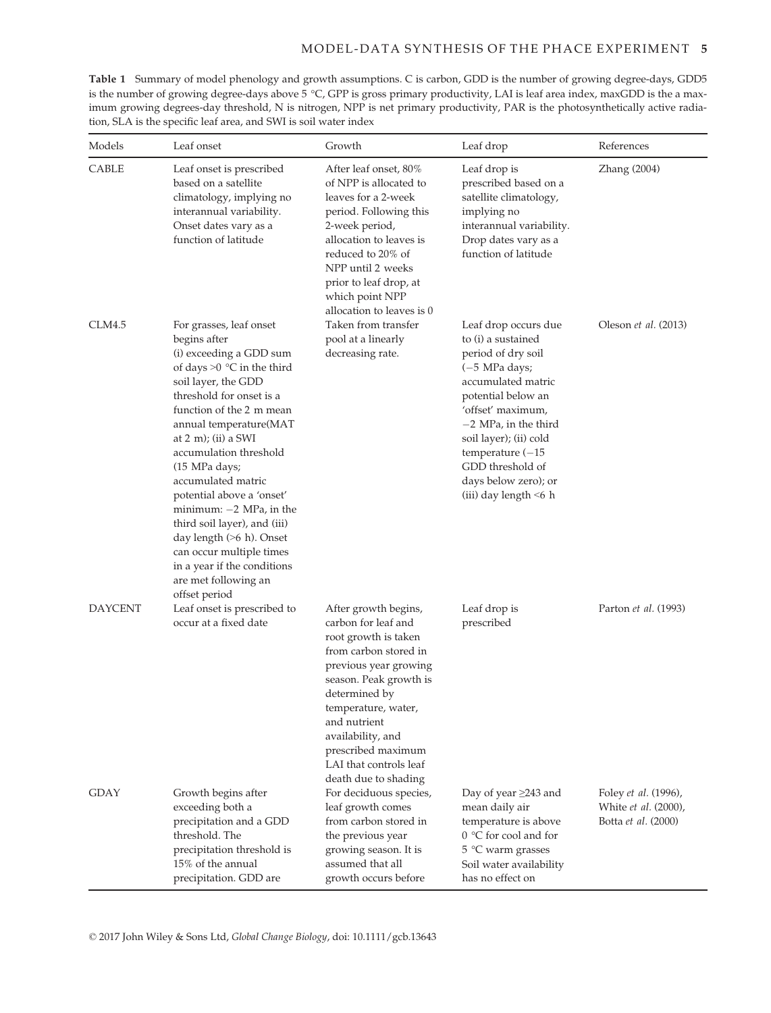Table 1 Summary of model phenology and growth assumptions. C is carbon, GDD is the number of growing degree-days, GDD5 is the number of growing degree-days above 5 °C, GPP is gross primary productivity, LAI is leaf area index, maxGDD is the a maximum growing degrees-day threshold, N is nitrogen, NPP is net primary productivity, PAR is the photosynthetically active radiation, SLA is the specific leaf area, and SWI is soil water index

| Models      | Leaf onset                                                                                                                                                                                                                                                                                                                                                                                                                                                                                                                              | Growth                                                                                                                                                                                                                                                                                               | Leaf drop                                                                                                                                                                                                                                                                                                            | References                                                                 |  |
|-------------|-----------------------------------------------------------------------------------------------------------------------------------------------------------------------------------------------------------------------------------------------------------------------------------------------------------------------------------------------------------------------------------------------------------------------------------------------------------------------------------------------------------------------------------------|------------------------------------------------------------------------------------------------------------------------------------------------------------------------------------------------------------------------------------------------------------------------------------------------------|----------------------------------------------------------------------------------------------------------------------------------------------------------------------------------------------------------------------------------------------------------------------------------------------------------------------|----------------------------------------------------------------------------|--|
| CABLE       | Leaf onset is prescribed<br>based on a satellite<br>climatology, implying no<br>interannual variability.<br>Onset dates vary as a<br>function of latitude                                                                                                                                                                                                                                                                                                                                                                               | After leaf onset, 80%<br>of NPP is allocated to<br>leaves for a 2-week<br>period. Following this<br>2-week period,<br>allocation to leaves is<br>reduced to 20% of<br>NPP until 2 weeks<br>prior to leaf drop, at<br>which point NPP<br>allocation to leaves is 0                                    | Leaf drop is<br>prescribed based on a<br>satellite climatology,<br>implying no<br>interannual variability.<br>Drop dates vary as a<br>function of latitude                                                                                                                                                           | Zhang (2004)                                                               |  |
| CLM4.5      | For grasses, leaf onset<br>begins after<br>(i) exceeding a GDD sum<br>of days $>0$ °C in the third<br>soil layer, the GDD<br>threshold for onset is a<br>function of the 2 m mean<br>annual temperature(MAT<br>at $2 \text{ m}$ ; (ii) a SWI<br>accumulation threshold<br>(15 MPa days;<br>accumulated matric<br>potential above a 'onset'<br>minimum: $-2$ MPa, in the<br>third soil layer), and (iii)<br>day length (>6 h). Onset<br>can occur multiple times<br>in a year if the conditions<br>are met following an<br>offset period | Taken from transfer<br>pool at a linearly<br>decreasing rate.                                                                                                                                                                                                                                        | Leaf drop occurs due<br>to (i) a sustained<br>period of dry soil<br>$(-5 \text{ MPa days})$<br>accumulated matric<br>potential below an<br>'offset' maximum,<br>$-2$ MPa, in the third<br>soil layer); (ii) cold<br>temperature $(-15)$<br>GDD threshold of<br>days below zero); or<br>$(iii)$ day length $\leq 6$ h | Oleson <i>et al.</i> (2013)                                                |  |
| DAYCENT     | Leaf onset is prescribed to<br>occur at a fixed date                                                                                                                                                                                                                                                                                                                                                                                                                                                                                    | After growth begins,<br>carbon for leaf and<br>root growth is taken<br>from carbon stored in<br>previous year growing<br>season. Peak growth is<br>determined by<br>temperature, water,<br>and nutrient<br>availability, and<br>prescribed maximum<br>LAI that controls leaf<br>death due to shading | Leaf drop is<br>prescribed                                                                                                                                                                                                                                                                                           | Parton <i>et al.</i> (1993)                                                |  |
| <b>GDAY</b> | Growth begins after<br>exceeding both a<br>precipitation and a GDD<br>threshold. The<br>precipitation threshold is<br>15% of the annual<br>precipitation. GDD are                                                                                                                                                                                                                                                                                                                                                                       | For deciduous species,<br>leaf growth comes<br>from carbon stored in<br>the previous year<br>growing season. It is<br>assumed that all<br>growth occurs before                                                                                                                                       | Day of year ≥243 and<br>mean daily air<br>temperature is above<br>0 °C for cool and for<br>5 °C warm grasses<br>Soil water availability<br>has no effect on                                                                                                                                                          | Foley et al. (1996),<br>White et al. (2000),<br>Botta <i>et al.</i> (2000) |  |

© 2017 John Wiley & Sons Ltd, Global Change Biology, doi: 10.1111/gcb.13643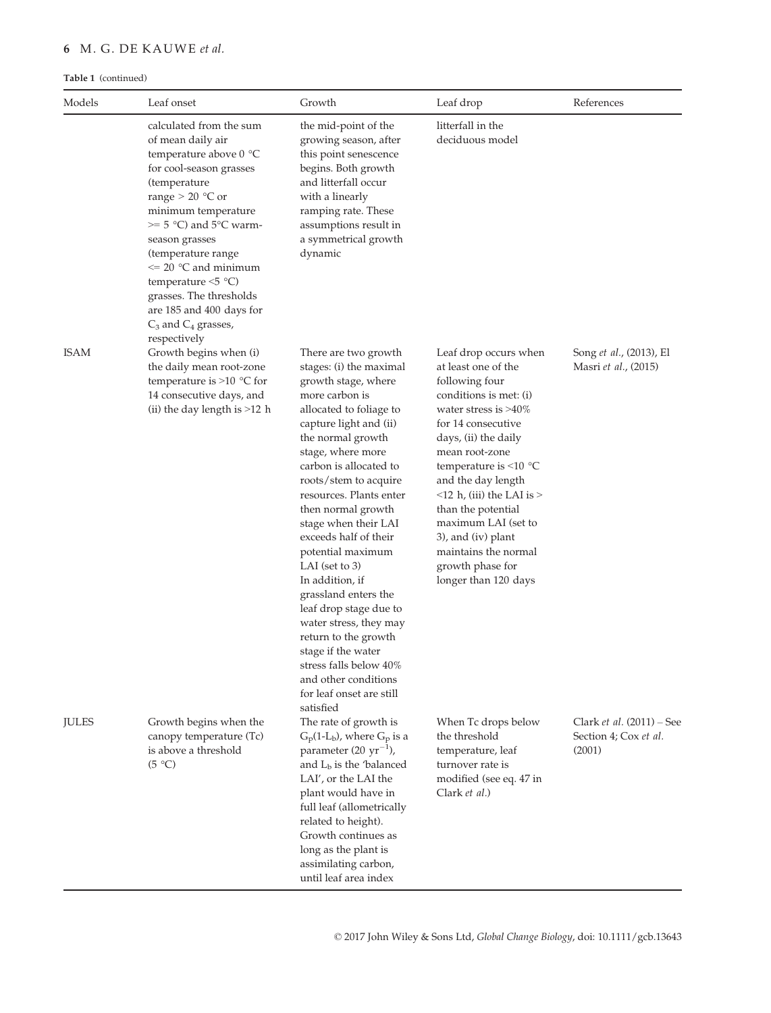# 6 M. G. DE KAUWE et al.

# Table 1 (continued)

| Models       | Leaf onset                                                                                                                                                                                                                                                                                                                                                                      | Growth                                                                                                                                                                                                                                                                                                                                                                                                                                                                                                                                                                                                            | Leaf drop                                                                                                                                                                                                                                                                                                                                                                                                                 | References                                                     |
|--------------|---------------------------------------------------------------------------------------------------------------------------------------------------------------------------------------------------------------------------------------------------------------------------------------------------------------------------------------------------------------------------------|-------------------------------------------------------------------------------------------------------------------------------------------------------------------------------------------------------------------------------------------------------------------------------------------------------------------------------------------------------------------------------------------------------------------------------------------------------------------------------------------------------------------------------------------------------------------------------------------------------------------|---------------------------------------------------------------------------------------------------------------------------------------------------------------------------------------------------------------------------------------------------------------------------------------------------------------------------------------------------------------------------------------------------------------------------|----------------------------------------------------------------|
|              | calculated from the sum<br>of mean daily air<br>temperature above 0 °C<br>for cool-season grasses<br>(temperature<br>range $> 20$ °C or<br>minimum temperature<br>$\geq$ 5 °C) and 5°C warm-<br>season grasses<br>(temperature range<br>$\leq$ 20 °C and minimum<br>temperature $\leq 5$ °C)<br>grasses. The thresholds<br>are 185 and 400 days for<br>$C_3$ and $C_4$ grasses, | the mid-point of the<br>growing season, after<br>this point senescence<br>begins. Both growth<br>and litterfall occur<br>with a linearly<br>ramping rate. These<br>assumptions result in<br>a symmetrical growth<br>dynamic                                                                                                                                                                                                                                                                                                                                                                                       | litterfall in the<br>deciduous model                                                                                                                                                                                                                                                                                                                                                                                      |                                                                |
| <b>ISAM</b>  | respectively<br>Growth begins when (i)<br>the daily mean root-zone<br>temperature is $>10$ °C for<br>14 consecutive days, and<br>(ii) the day length is $>12$ h                                                                                                                                                                                                                 | There are two growth<br>stages: (i) the maximal<br>growth stage, where<br>more carbon is<br>allocated to foliage to<br>capture light and (ii)<br>the normal growth<br>stage, where more<br>carbon is allocated to<br>roots/stem to acquire<br>resources. Plants enter<br>then normal growth<br>stage when their LAI<br>exceeds half of their<br>potential maximum<br>LAI (set to $3$ )<br>In addition, if<br>grassland enters the<br>leaf drop stage due to<br>water stress, they may<br>return to the growth<br>stage if the water<br>stress falls below 40%<br>and other conditions<br>for leaf onset are still | Leaf drop occurs when<br>at least one of the<br>following four<br>conditions is met: (i)<br>water stress is $>40\%$<br>for 14 consecutive<br>days, (ii) the daily<br>mean root-zone<br>temperature is $\leq 10$ °C<br>and the day length<br>$\leq$ 12 h, (iii) the LAI is $>$<br>than the potential<br>maximum LAI (set to<br>$3$ ), and $(iv)$ plant<br>maintains the normal<br>growth phase for<br>longer than 120 days | Song et al., (2013), El<br>Masri et al., (2015)                |
| <b>JULES</b> | Growth begins when the<br>canopy temperature (Tc)<br>is above a threshold<br>(5 °C)                                                                                                                                                                                                                                                                                             | satisfied<br>The rate of growth is<br>$G_p(1-L_b)$ , where $G_p$ is a<br>parameter $(20 \text{ yr}^{-1})$ ,<br>and $Lb$ is the 'balanced<br>LAI', or the LAI the<br>plant would have in<br>full leaf (allometrically<br>related to height).<br>Growth continues as<br>long as the plant is<br>assimilating carbon,<br>until leaf area index                                                                                                                                                                                                                                                                       | When Tc drops below<br>the threshold<br>temperature, leaf<br>turnover rate is<br>modified (see eq. 47 in<br>Clark et al.)                                                                                                                                                                                                                                                                                                 | Clark et al. $(2011)$ – See<br>Section 4; Cox et al.<br>(2001) |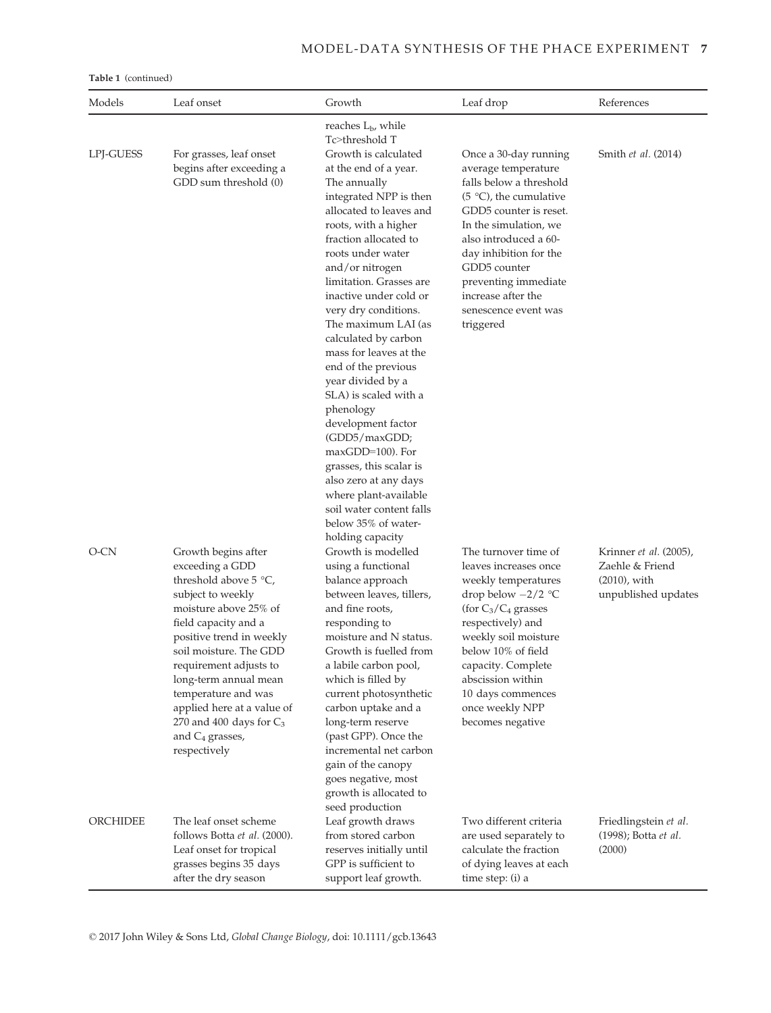# MODEL-DATA SYNTHESIS OF THE PHACE EXPERIMENT 7

Table 1 (continued)

| Models    | Leaf onset                                                                                                                                                                                                                                                                                                                                                              | Growth                                                                                                                                                                                                                                                                                                                                                                                                                                                                                                                                                                                                                                                                                             | Leaf drop                                                                                                                                                                                                                                                                                                     | References<br>Smith et al. (2014)                                                   |  |
|-----------|-------------------------------------------------------------------------------------------------------------------------------------------------------------------------------------------------------------------------------------------------------------------------------------------------------------------------------------------------------------------------|----------------------------------------------------------------------------------------------------------------------------------------------------------------------------------------------------------------------------------------------------------------------------------------------------------------------------------------------------------------------------------------------------------------------------------------------------------------------------------------------------------------------------------------------------------------------------------------------------------------------------------------------------------------------------------------------------|---------------------------------------------------------------------------------------------------------------------------------------------------------------------------------------------------------------------------------------------------------------------------------------------------------------|-------------------------------------------------------------------------------------|--|
| LPJ-GUESS | For grasses, leaf onset<br>begins after exceeding a<br>GDD sum threshold (0)                                                                                                                                                                                                                                                                                            | reaches L <sub>b</sub> , while<br>Tc>threshold T<br>Growth is calculated<br>at the end of a year.<br>The annually<br>integrated NPP is then<br>allocated to leaves and<br>roots, with a higher<br>fraction allocated to<br>roots under water<br>and/or nitrogen<br>limitation. Grasses are<br>inactive under cold or<br>very dry conditions.<br>The maximum LAI (as<br>calculated by carbon<br>mass for leaves at the<br>end of the previous<br>year divided by a<br>SLA) is scaled with a<br>phenology<br>development factor<br>(GDD5/maxGDD;<br>maxGDD=100). For<br>grasses, this scalar is<br>also zero at any days<br>where plant-available<br>soil water content falls<br>below 35% of water- | Once a 30-day running<br>average temperature<br>falls below a threshold<br>$(5 °C)$ , the cumulative<br>GDD5 counter is reset.<br>In the simulation, we<br>also introduced a 60-<br>day inhibition for the<br>GDD5 counter<br>preventing immediate<br>increase after the<br>senescence event was<br>triggered |                                                                                     |  |
| O-CN      | Growth begins after<br>exceeding a GDD<br>threshold above 5 °C,<br>subject to weekly<br>moisture above 25% of<br>field capacity and a<br>positive trend in weekly<br>soil moisture. The GDD<br>requirement adjusts to<br>long-term annual mean<br>temperature and was<br>applied here at a value of<br>270 and 400 days for $C_3$<br>and $C_4$ grasses,<br>respectively | holding capacity<br>Growth is modelled<br>using a functional<br>balance approach<br>between leaves, tillers,<br>and fine roots,<br>responding to<br>moisture and N status.<br>Growth is fuelled from<br>a labile carbon pool,<br>which is filled by<br>current photosynthetic<br>carbon uptake and a<br>long-term reserve<br>(past GPP). Once the<br>incremental net carbon<br>gain of the canopy<br>goes negative, most<br>growth is allocated to<br>seed production                                                                                                                                                                                                                              | The turnover time of<br>leaves increases once<br>weekly temperatures<br>drop below $-2/2$ °C<br>(for $C_3/C_4$ grasses<br>respectively) and<br>weekly soil moisture<br>below 10% of field<br>capacity. Complete<br>abscission within<br>10 days commences<br>once weekly NPP<br>becomes negative              | Krinner et al. (2005),<br>Zaehle & Friend<br>$(2010)$ , with<br>unpublished updates |  |
| ORCHIDEE  | The leaf onset scheme<br>follows Botta et al. (2000).<br>Leaf onset for tropical<br>grasses begins 35 days<br>after the dry season                                                                                                                                                                                                                                      | Leaf growth draws<br>from stored carbon<br>reserves initially until<br>GPP is sufficient to<br>support leaf growth.                                                                                                                                                                                                                                                                                                                                                                                                                                                                                                                                                                                | Two different criteria<br>are used separately to<br>calculate the fraction<br>of dying leaves at each<br>time step: (i) a                                                                                                                                                                                     | Friedlingstein et al.<br>(1998); Botta <i>et al.</i><br>(2000)                      |  |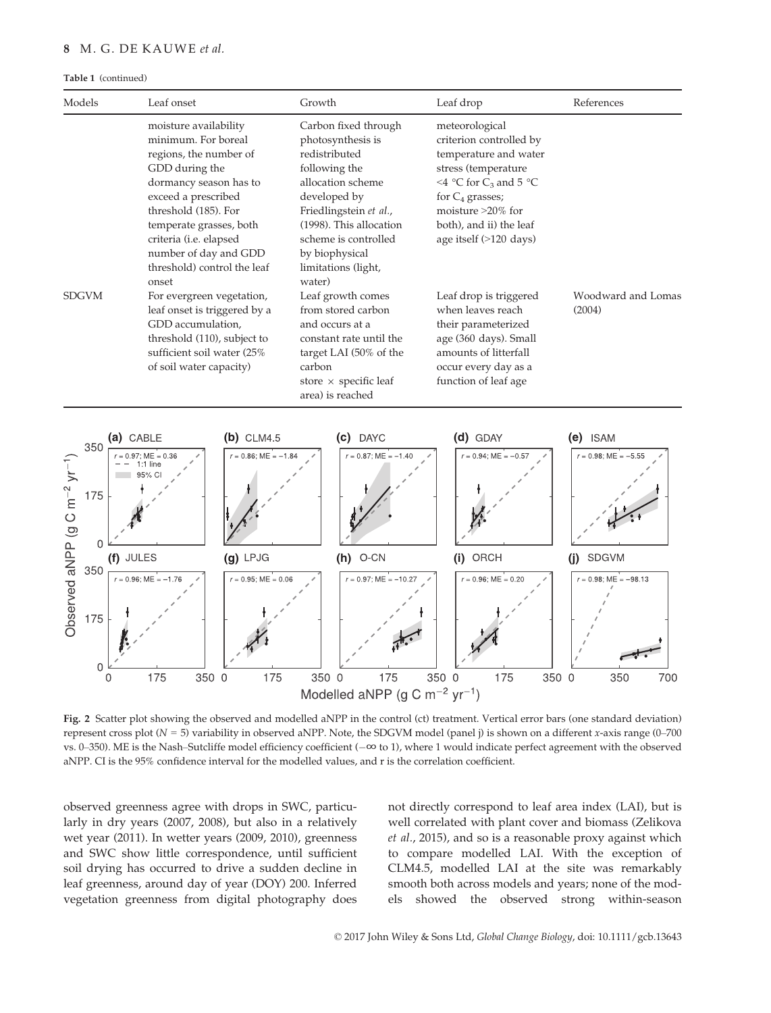# 8 M. G. DE KAUWE et al.

#### Table 1 (continued)

| Models<br>Leaf onset                                                                                                                                                                                                                                                                                                                                                                                                                                                              |                          | Growth                                                                                                                                                                                                                                           | Leaf drop                                                                                                                                                                                                                      | References                         |                                         |
|-----------------------------------------------------------------------------------------------------------------------------------------------------------------------------------------------------------------------------------------------------------------------------------------------------------------------------------------------------------------------------------------------------------------------------------------------------------------------------------|--------------------------|--------------------------------------------------------------------------------------------------------------------------------------------------------------------------------------------------------------------------------------------------|--------------------------------------------------------------------------------------------------------------------------------------------------------------------------------------------------------------------------------|------------------------------------|-----------------------------------------|
| moisture availability<br>minimum. For boreal<br>regions, the number of<br>GDD during the<br>dormancy season has to<br>exceed a prescribed<br>threshold (185). For<br>temperate grasses, both<br>criteria (i.e. elapsed<br>number of day and GDD<br>threshold) control the leaf<br>onset<br><b>SDGVM</b><br>For evergreen vegetation,<br>leaf onset is triggered by a<br>GDD accumulation,<br>threshold (110), subject to<br>sufficient soil water (25%<br>of soil water capacity) |                          | Carbon fixed through<br>photosynthesis is<br>redistributed<br>following the<br>allocation scheme<br>developed by<br>Friedlingstein et al.,<br>(1998). This allocation<br>scheme is controlled<br>by biophysical<br>limitations (light,<br>water) | meteorological<br>criterion controlled by<br>temperature and water<br>stress (temperature<br><4 °C for C <sub>3</sub> and 5 °C<br>for $C_4$ grasses;<br>moisture >20% for<br>both), and ii) the leaf<br>age itself (>120 days) |                                    |                                         |
|                                                                                                                                                                                                                                                                                                                                                                                                                                                                                   |                          | Leaf growth comes<br>from stored carbon<br>and occurs at a<br>constant rate until the<br>target LAI (50% of the<br>carbon<br>store $\times$ specific leaf<br>area) is reached                                                                    | Leaf drop is triggered<br>when leaves reach<br>their parameterized<br>age (360 days). Small<br>amounts of litterfall<br>occur every day as a<br>function of leaf age                                                           | Woodward and Lomas<br>(2004)       |                                         |
|                                                                                                                                                                                                                                                                                                                                                                                                                                                                                   | (a) CABLE                | $(b)$ CLM4.5                                                                                                                                                                                                                                     | (c) DAYC                                                                                                                                                                                                                       | (d) GDAY                           | (e) ISAM                                |
| 350<br>Observed aNPP $(9 C m^{-2} yr^{-1}$<br>175<br>$\mathbf{0}$<br>350                                                                                                                                                                                                                                                                                                                                                                                                          | $ME = 0.36$<br>(f) JULES | $r = 0.86$ ; ME = $-1.8$<br>$(g)$ LPJG                                                                                                                                                                                                           | $r = 0.87$ ; ME = -1.40<br>$(h)$ O-CN                                                                                                                                                                                          | $r = 0.94$ ; ME = -0.5<br>(i) ORCH | $r = 0.98$ ; ME = -5.55<br>SDGVM<br>(j) |
| 175<br>$\mathbf 0$                                                                                                                                                                                                                                                                                                                                                                                                                                                                | $r = 0.96$ ; ME = -1.7   | $r = 0.95$ ; ME = 0.06                                                                                                                                                                                                                           | $r = 0.97$ ; ME = -10.2                                                                                                                                                                                                        | $r = 0.96$ ; ME = 0.20             | $r = 0.98$ ; ME = -98.13                |
| 0                                                                                                                                                                                                                                                                                                                                                                                                                                                                                 | 175<br>350 0             | 175                                                                                                                                                                                                                                              | 175<br>350 0<br>Modelled aNPP (g C m <sup>-2</sup> yr <sup>-1</sup> )                                                                                                                                                          | 350 0<br>175                       | 700<br>350 0<br>350                     |

Fig. 2 Scatter plot showing the observed and modelled aNPP in the control (ct) treatment. Vertical error bars (one standard deviation) represent cross plot ( $N = 5$ ) variability in observed aNPP. Note, the SDGVM model (panel j) is shown on a different x-axis range (0–700 vs. 0–350). ME is the Nash–Sutcliffe model efficiency coefficient (−∞ to 1), where 1 would indicate perfect agreement with the observed aNPP. CI is the 95% confidence interval for the modelled values, and r is the correlation coefficient.

observed greenness agree with drops in SWC, particularly in dry years (2007, 2008), but also in a relatively wet year (2011). In wetter years (2009, 2010), greenness and SWC show little correspondence, until sufficient soil drying has occurred to drive a sudden decline in leaf greenness, around day of year (DOY) 200. Inferred vegetation greenness from digital photography does not directly correspond to leaf area index (LAI), but is well correlated with plant cover and biomass (Zelikova et al., 2015), and so is a reasonable proxy against which to compare modelled LAI. With the exception of CLM4.5, modelled LAI at the site was remarkably smooth both across models and years; none of the models showed the observed strong within-season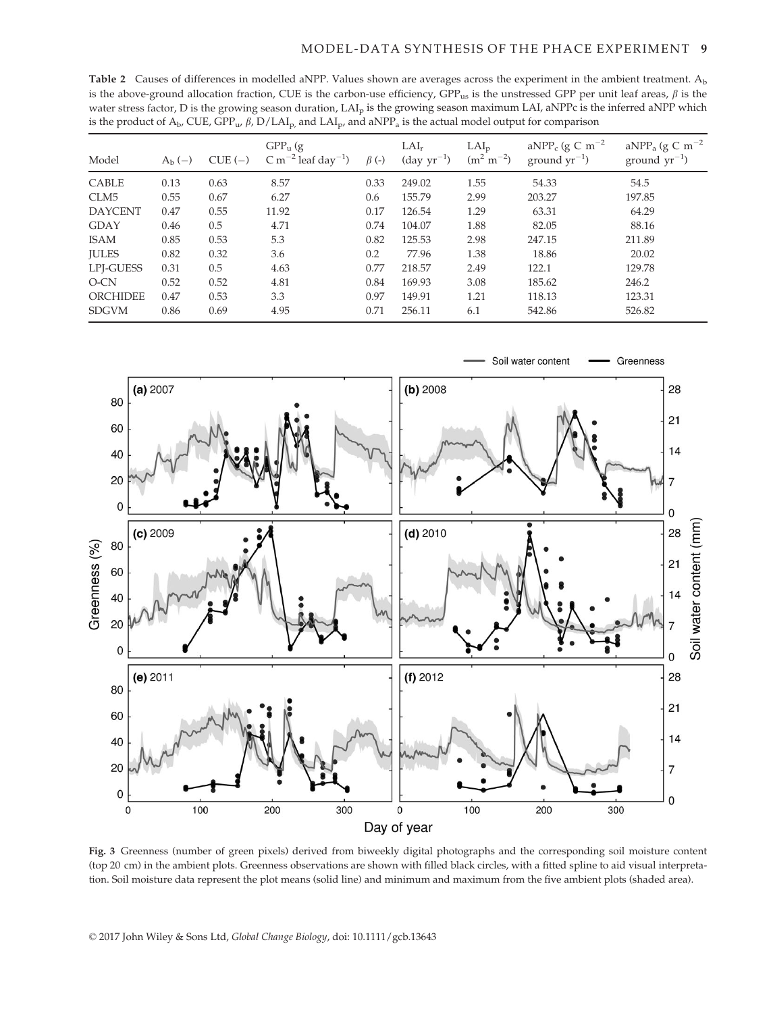Table 2 Causes of differences in modelled aNPP. Values shown are averages across the experiment in the ambient treatment.  $A<sub>b</sub>$ is the above-ground allocation fraction, CUE is the carbon-use efficiency,  $GPP_{us}$  is the unstressed GPP per unit leaf areas,  $\beta$  is the water stress factor, D is the growing season duration, LAI<sub>p</sub> is the growing season maximum LAI, aNPPc is the inferred aNPP which is the product of  $A_b$ , CUE, GPP<sub>u</sub>,  $\beta$ , D/LAI<sub>p</sub>, and LAI<sub>p</sub>, and aNPP<sub>a</sub> is the actual model output for comparison

| Model           | $A_{\rm b}$ $(-)$ | $CUE$ (-) | $GPP_u$ (g<br>C m <sup><math>-2</math></sup> leaf day <sup><math>-1</math></sup> ) | $\beta$ (-) | $LAI_r$<br>$(\text{day yr}^{-1})$ | $LAI_p$<br>$(m^2 m^{-2})$ | aNPP <sub>c</sub> (g C m <sup><math>-2</math></sup> )<br>ground $yr^{-1}$ ) | aNPP <sub>a</sub> (g C m <sup><math>-2</math></sup><br>ground $yr^{-1}$ ) |
|-----------------|-------------------|-----------|------------------------------------------------------------------------------------|-------------|-----------------------------------|---------------------------|-----------------------------------------------------------------------------|---------------------------------------------------------------------------|
| <b>CABLE</b>    | 0.13              | 0.63      | 8.57                                                                               | 0.33        | 249.02                            | 1.55                      | 54.33                                                                       | 54.5                                                                      |
| CLM5            | 0.55              | 0.67      | 6.27                                                                               | 0.6         | 155.79                            | 2.99                      | 203.27                                                                      | 197.85                                                                    |
| <b>DAYCENT</b>  | 0.47              | 0.55      | 11.92                                                                              | 0.17        | 126.54                            | 1.29                      | 63.31                                                                       | 64.29                                                                     |
| <b>GDAY</b>     | 0.46              | 0.5       | 4.71                                                                               | 0.74        | 104.07                            | 1.88                      | 82.05                                                                       | 88.16                                                                     |
| <b>ISAM</b>     | 0.85              | 0.53      | 5.3                                                                                | 0.82        | 125.53                            | 2.98                      | 247.15                                                                      | 211.89                                                                    |
| <b>JULES</b>    | 0.82              | 0.32      | 3.6                                                                                | 0.2         | 77.96                             | 1.38                      | 18.86                                                                       | 20.02                                                                     |
| LPJ-GUESS       | 0.31              | 0.5       | 4.63                                                                               | 0.77        | 218.57                            | 2.49                      | 122.1                                                                       | 129.78                                                                    |
| $O-CN$          | 0.52              | 0.52      | 4.81                                                                               | 0.84        | 169.93                            | 3.08                      | 185.62                                                                      | 246.2                                                                     |
| <b>ORCHIDEE</b> | 0.47              | 0.53      | 3.3                                                                                | 0.97        | 149.91                            | 1.21                      | 118.13                                                                      | 123.31                                                                    |
| <b>SDGVM</b>    | 0.86              | 0.69      | 4.95                                                                               | 0.71        | 256.11                            | 6.1                       | 542.86                                                                      | 526.82                                                                    |



Fig. 3 Greenness (number of green pixels) derived from biweekly digital photographs and the corresponding soil moisture content (top 20 cm) in the ambient plots. Greenness observations are shown with filled black circles, with a fitted spline to aid visual interpretation. Soil moisture data represent the plot means (solid line) and minimum and maximum from the five ambient plots (shaded area).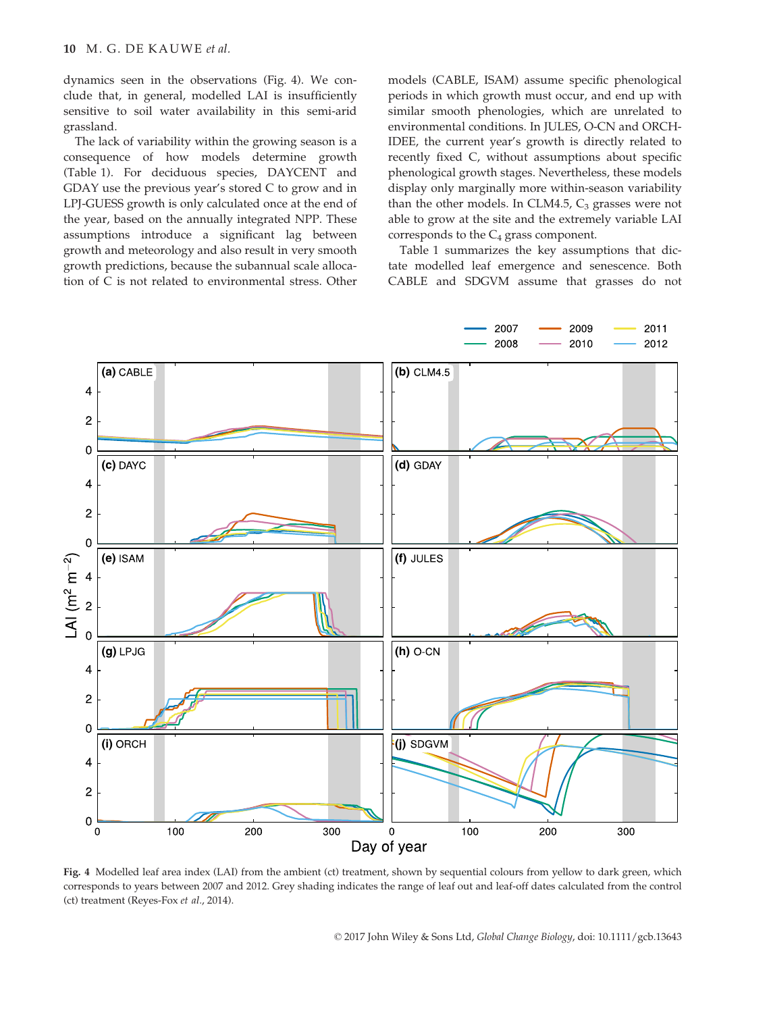dynamics seen in the observations (Fig. 4). We conclude that, in general, modelled LAI is insufficiently sensitive to soil water availability in this semi-arid grassland.

The lack of variability within the growing season is a consequence of how models determine growth (Table 1). For deciduous species, DAYCENT and GDAY use the previous year's stored C to grow and in LPJ-GUESS growth is only calculated once at the end of the year, based on the annually integrated NPP. These assumptions introduce a significant lag between growth and meteorology and also result in very smooth growth predictions, because the subannual scale allocation of C is not related to environmental stress. Other models (CABLE, ISAM) assume specific phenological periods in which growth must occur, and end up with similar smooth phenologies, which are unrelated to environmental conditions. In JULES, O-CN and ORCH-IDEE, the current year's growth is directly related to recently fixed C, without assumptions about specific phenological growth stages. Nevertheless, these models display only marginally more within-season variability than the other models. In CLM4.5,  $C_3$  grasses were not able to grow at the site and the extremely variable LAI corresponds to the  $C_4$  grass component.

Table 1 summarizes the key assumptions that dictate modelled leaf emergence and senescence. Both CABLE and SDGVM assume that grasses do not



Fig. 4 Modelled leaf area index (LAI) from the ambient (ct) treatment, shown by sequential colours from yellow to dark green, which corresponds to years between 2007 and 2012. Grey shading indicates the range of leaf out and leaf-off dates calculated from the control (ct) treatment (Reyes-Fox et al., 2014).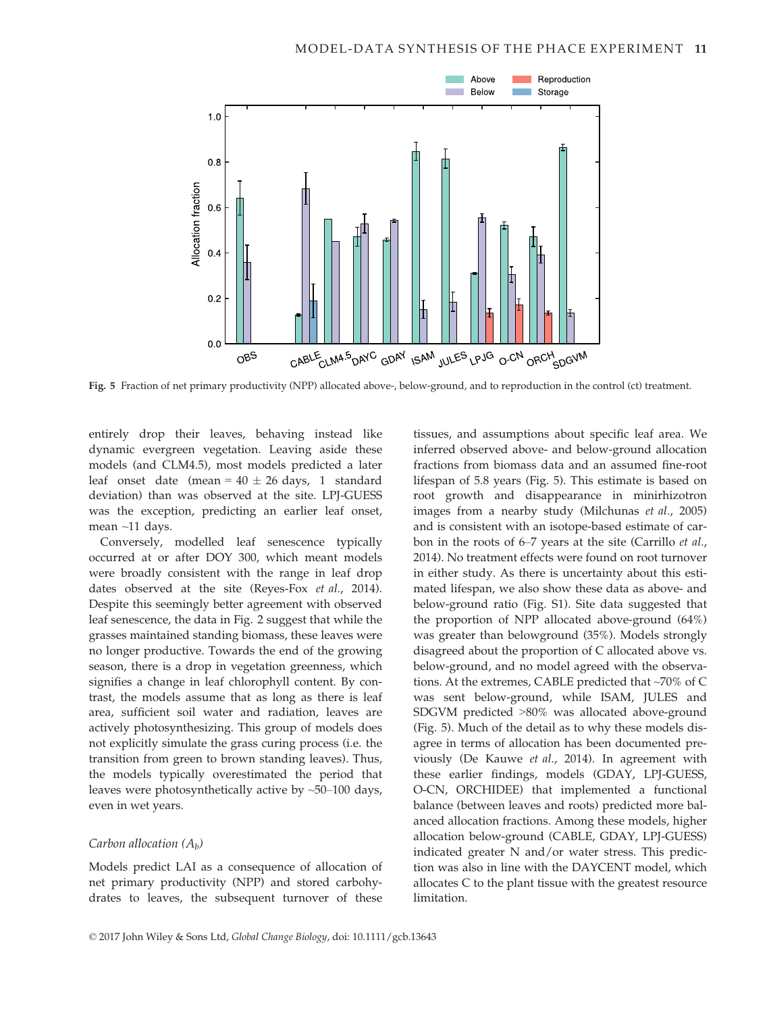

Fig. 5 Fraction of net primary productivity (NPP) allocated above-, below-ground, and to reproduction in the control (ct) treatment.

entirely drop their leaves, behaving instead like dynamic evergreen vegetation. Leaving aside these models (and CLM4.5), most models predicted a later leaf onset date (mean =  $40 \pm 26$  days, 1 standard deviation) than was observed at the site. LPJ-GUESS was the exception, predicting an earlier leaf onset, mean ~11 days.

Conversely, modelled leaf senescence typically occurred at or after DOY 300, which meant models were broadly consistent with the range in leaf drop dates observed at the site (Reyes-Fox et al., 2014). Despite this seemingly better agreement with observed leaf senescence, the data in Fig. 2 suggest that while the grasses maintained standing biomass, these leaves were no longer productive. Towards the end of the growing season, there is a drop in vegetation greenness, which signifies a change in leaf chlorophyll content. By contrast, the models assume that as long as there is leaf area, sufficient soil water and radiation, leaves are actively photosynthesizing. This group of models does not explicitly simulate the grass curing process (i.e. the transition from green to brown standing leaves). Thus, the models typically overestimated the period that leaves were photosynthetically active by ~50–100 days, even in wet years.

### Carbon allocation  $(A_h)$

Models predict LAI as a consequence of allocation of net primary productivity (NPP) and stored carbohydrates to leaves, the subsequent turnover of these tissues, and assumptions about specific leaf area. We inferred observed above- and below-ground allocation fractions from biomass data and an assumed fine-root lifespan of 5.8 years (Fig. 5). This estimate is based on root growth and disappearance in minirhizotron images from a nearby study (Milchunas et al., 2005) and is consistent with an isotope-based estimate of carbon in the roots of 6–7 years at the site (Carrillo et al., 2014). No treatment effects were found on root turnover in either study. As there is uncertainty about this estimated lifespan, we also show these data as above- and below-ground ratio (Fig. S1). Site data suggested that the proportion of NPP allocated above-ground (64%) was greater than belowground (35%). Models strongly disagreed about the proportion of C allocated above vs. below-ground, and no model agreed with the observations. At the extremes, CABLE predicted that ~70% of C was sent below-ground, while ISAM, JULES and SDGVM predicted >80% was allocated above-ground (Fig. 5). Much of the detail as to why these models disagree in terms of allocation has been documented previously (De Kauwe et al., 2014). In agreement with these earlier findings, models (GDAY, LPJ-GUESS, O-CN, ORCHIDEE) that implemented a functional balance (between leaves and roots) predicted more balanced allocation fractions. Among these models, higher allocation below-ground (CABLE, GDAY, LPJ-GUESS) indicated greater N and/or water stress. This prediction was also in line with the DAYCENT model, which allocates C to the plant tissue with the greatest resource limitation.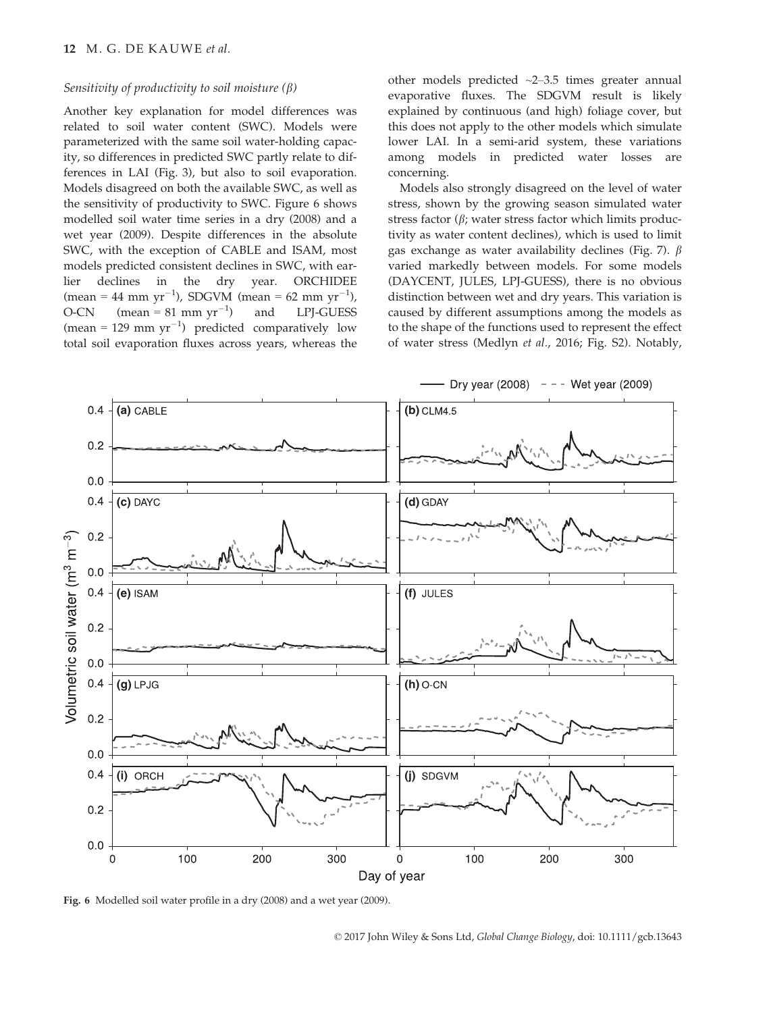# Sensitivity of productivity to soil moisture  $(\beta)$

Another key explanation for model differences was related to soil water content (SWC). Models were parameterized with the same soil water-holding capacity, so differences in predicted SWC partly relate to differences in LAI (Fig. 3), but also to soil evaporation. Models disagreed on both the available SWC, as well as the sensitivity of productivity to SWC. Figure 6 shows modelled soil water time series in a dry (2008) and a wet year (2009). Despite differences in the absolute SWC, with the exception of CABLE and ISAM, most models predicted consistent declines in SWC, with earlier declines in the dry year. ORCHIDEE  $(\text{mean} = 44 \text{ mm yr}^{-1})$ , SDGVM  $(\text{mean} = 62 \text{ mm yr}^{-1})$ ,  $O-CN$  (mean = 81 mm yr<sup>-1</sup>) ) and LPJ-GUESS (mean = 129 mm  $yr^{-1}$ ) predicted comparatively low total soil evaporation fluxes across years, whereas the other models predicted ~2–3.5 times greater annual evaporative fluxes. The SDGVM result is likely explained by continuous (and high) foliage cover, but this does not apply to the other models which simulate lower LAI. In a semi-arid system, these variations among models in predicted water losses are concerning.

Models also strongly disagreed on the level of water stress, shown by the growing season simulated water stress factor  $(\beta)$ ; water stress factor which limits productivity as water content declines), which is used to limit gas exchange as water availability declines (Fig. 7).  $\beta$ varied markedly between models. For some models (DAYCENT, JULES, LPJ-GUESS), there is no obvious distinction between wet and dry years. This variation is caused by different assumptions among the models as to the shape of the functions used to represent the effect of water stress (Medlyn et al., 2016; Fig. S2). Notably,



Fig. 6 Modelled soil water profile in a dry (2008) and a wet year (2009).

© 2017 John Wiley & Sons Ltd, Global Change Biology, doi: 10.1111/gcb.13643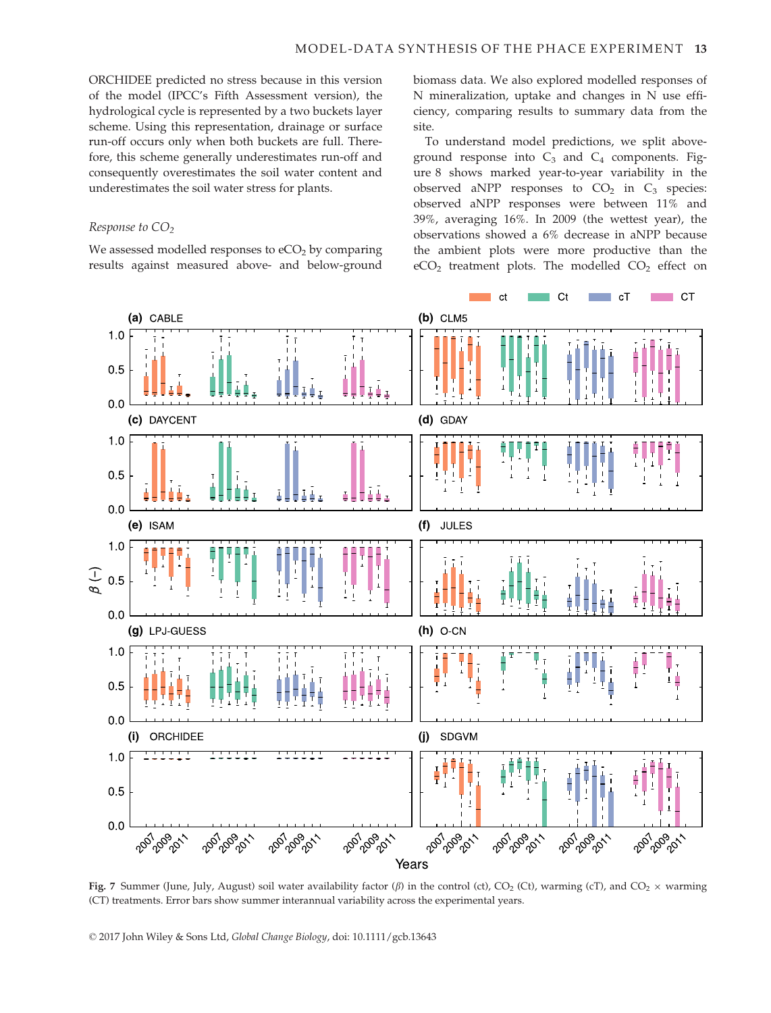ORCHIDEE predicted no stress because in this version of the model (IPCC's Fifth Assessment version), the hydrological cycle is represented by a two buckets layer scheme. Using this representation, drainage or surface run-off occurs only when both buckets are full. Therefore, this scheme generally underestimates run-off and consequently overestimates the soil water content and underestimates the soil water stress for plants.

## Response to  $CO<sub>2</sub>$

We assessed modelled responses to  $eCO<sub>2</sub>$  by comparing results against measured above- and below-ground biomass data. We also explored modelled responses of N mineralization, uptake and changes in N use efficiency, comparing results to summary data from the site.

To understand model predictions, we split aboveground response into  $C_3$  and  $C_4$  components. Figure 8 shows marked year-to-year variability in the observed aNPP responses to  $CO<sub>2</sub>$  in  $C<sub>3</sub>$  species: observed aNPP responses were between 11% and 39%, averaging 16%. In 2009 (the wettest year), the observations showed a 6% decrease in aNPP because the ambient plots were more productive than the  $eCO<sub>2</sub>$  treatment plots. The modelled  $CO<sub>2</sub>$  effect on



Fig. 7 Summer (June, July, August) soil water availability factor ( $\beta$ ) in the control (ct), CO<sub>2</sub> (Ct), warming (cT), and CO<sub>2</sub> × warming (CT) treatments. Error bars show summer interannual variability across the experimental years.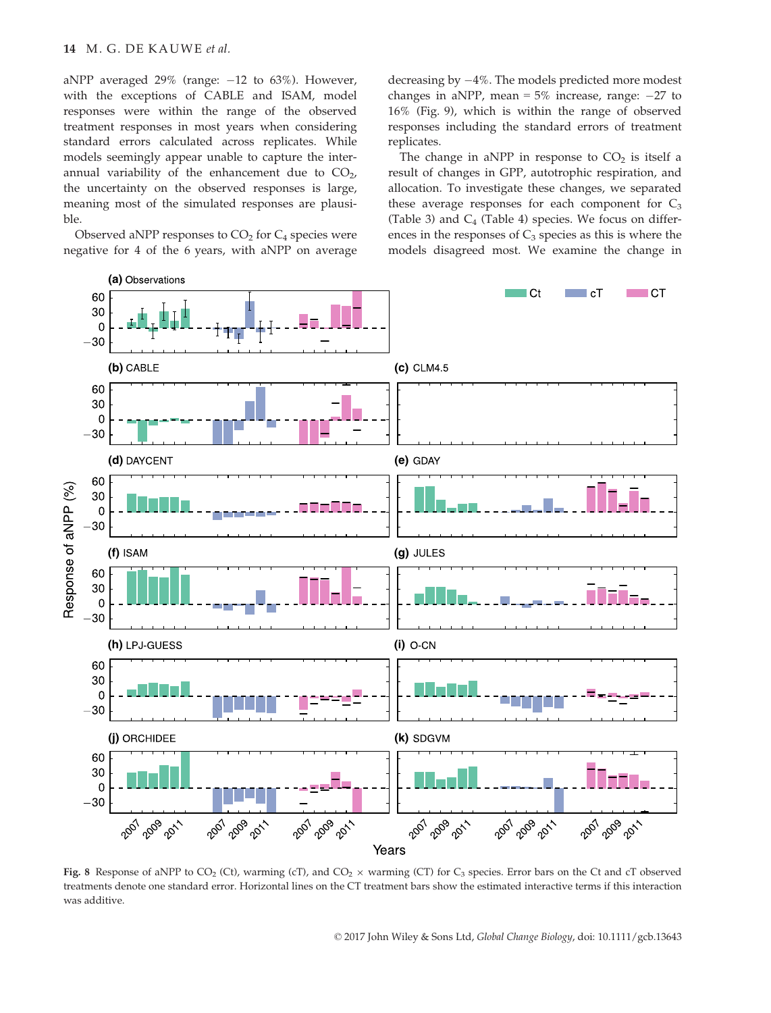aNPP averaged 29% (range:  $-12$  to 63%). However, with the exceptions of CABLE and ISAM, model responses were within the range of the observed treatment responses in most years when considering standard errors calculated across replicates. While models seemingly appear unable to capture the interannual variability of the enhancement due to  $CO<sub>2</sub>$ , the uncertainty on the observed responses is large, meaning most of the simulated responses are plausible.

Observed aNPP responses to  $CO<sub>2</sub>$  for  $C<sub>4</sub>$  species were negative for 4 of the 6 years, with aNPP on average decreasing by  $-4\%$ . The models predicted more modest changes in aNPP, mean =  $5\%$  increase, range:  $-27$  to 16% (Fig. 9), which is within the range of observed responses including the standard errors of treatment replicates.

The change in aNPP in response to  $CO<sub>2</sub>$  is itself a result of changes in GPP, autotrophic respiration, and allocation. To investigate these changes, we separated these average responses for each component for  $C_3$ (Table 3) and  $C_4$  (Table 4) species. We focus on differences in the responses of  $C_3$  species as this is where the models disagreed most. We examine the change in



Fig. 8 Response of aNPP to  $CO_2$  (Ct), warming (cT), and  $CO_2 \times$  warming (CT) for  $C_3$  species. Error bars on the Ct and cT observed treatments denote one standard error. Horizontal lines on the CT treatment bars show the estimated interactive terms if this interaction was additive.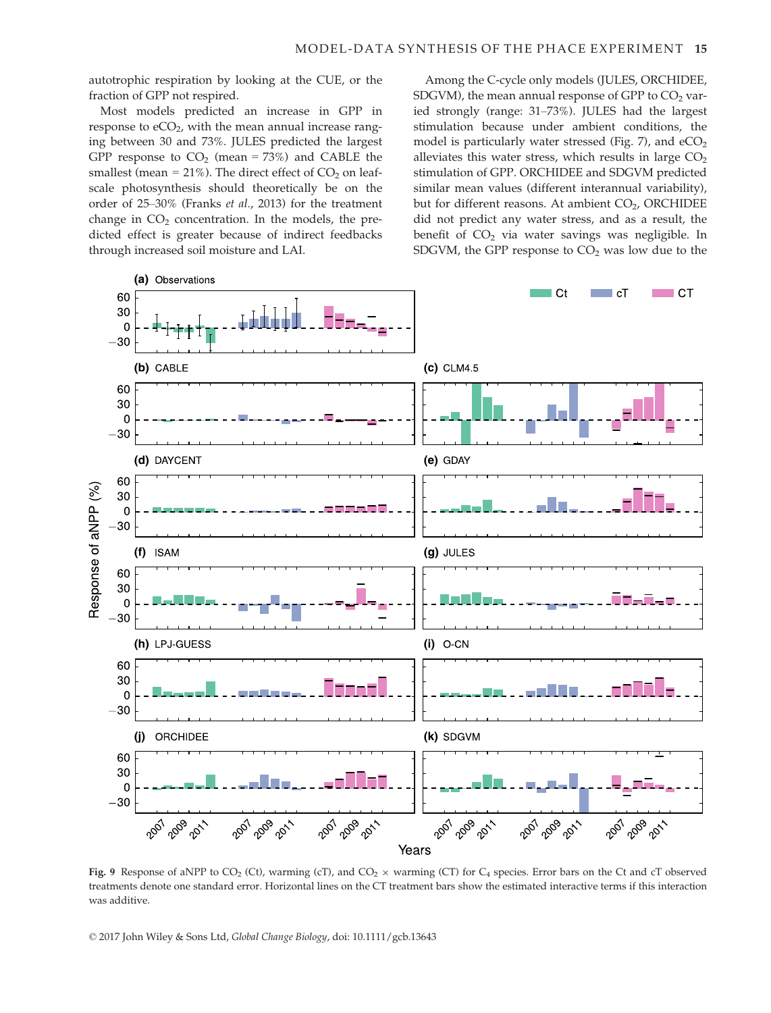autotrophic respiration by looking at the CUE, or the fraction of GPP not respired.

Most models predicted an increase in GPP in response to  $eCO<sub>2</sub>$ , with the mean annual increase ranging between 30 and 73%. JULES predicted the largest GPP response to  $CO<sub>2</sub>$  (mean = 73%) and CABLE the smallest (mean =  $21\%$ ). The direct effect of  $CO<sub>2</sub>$  on leafscale photosynthesis should theoretically be on the order of 25–30% (Franks et al., 2013) for the treatment change in  $CO<sub>2</sub>$  concentration. In the models, the predicted effect is greater because of indirect feedbacks through increased soil moisture and LAI.

Among the C-cycle only models (JULES, ORCHIDEE, SDGVM), the mean annual response of GPP to  $CO<sub>2</sub>$  varied strongly (range: 31–73%). JULES had the largest stimulation because under ambient conditions, the model is particularly water stressed (Fig. 7), and  $eCO<sub>2</sub>$ alleviates this water stress, which results in large  $CO<sub>2</sub>$ stimulation of GPP. ORCHIDEE and SDGVM predicted similar mean values (different interannual variability), but for different reasons. At ambient  $CO<sub>2</sub>$ , ORCHIDEE did not predict any water stress, and as a result, the benefit of  $CO<sub>2</sub>$  via water savings was negligible. In SDGVM, the GPP response to  $CO<sub>2</sub>$  was low due to the



Fig. 9 Response of aNPP to  $CO_2$  (Ct), warming (cT), and  $CO_2 \times$  warming (CT) for  $C_4$  species. Error bars on the Ct and cT observed treatments denote one standard error. Horizontal lines on the CT treatment bars show the estimated interactive terms if this interaction was additive.

© 2017 John Wiley & Sons Ltd, Global Change Biology, doi: 10.1111/gcb.13643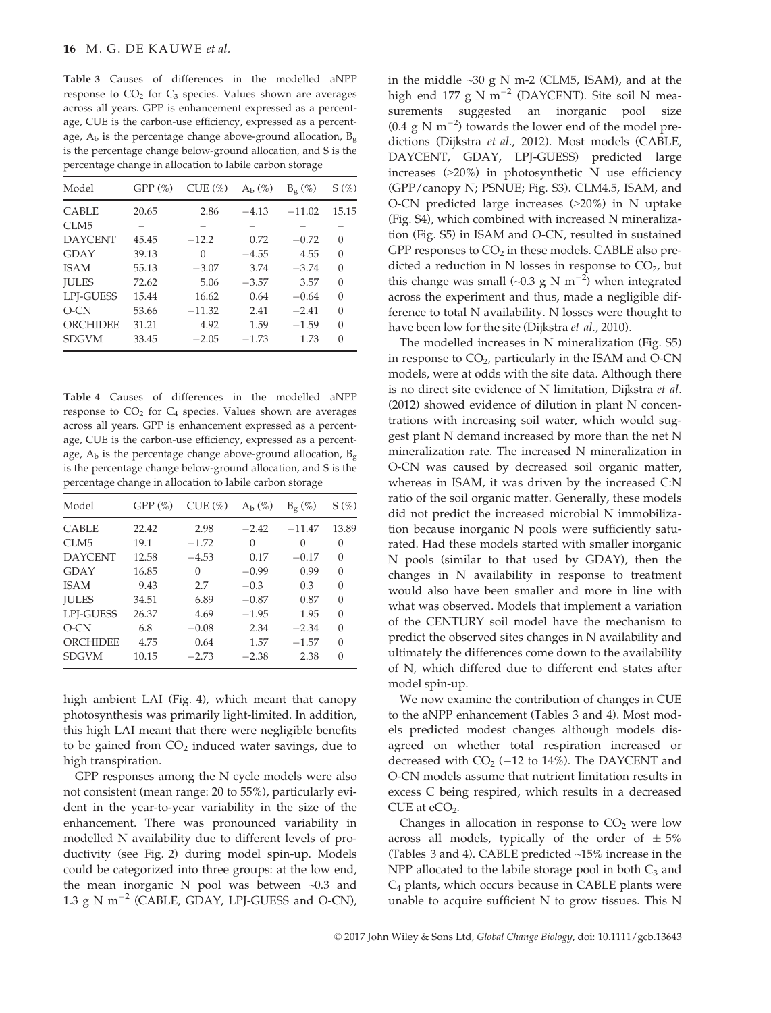Table 3 Causes of differences in the modelled aNPP response to  $CO<sub>2</sub>$  for  $C<sub>3</sub>$  species. Values shown are averages across all years. GPP is enhancement expressed as a percentage, CUE is the carbon-use efficiency, expressed as a percentage,  $A_b$  is the percentage change above-ground allocation,  $B_g$ is the percentage change below-ground allocation, and S is the percentage change in allocation to labile carbon storage

| Model            | GPP(%) | CUE(%)   | $A_h$ $(\%)$ | $B_g$ (%) | $S(\%)$  |
|------------------|--------|----------|--------------|-----------|----------|
| <b>CABLE</b>     | 20.65  | 2.86     | $-4.13$      | $-11.02$  | 15.15    |
| CLM <sub>5</sub> |        |          |              |           |          |
| <b>DAYCENT</b>   | 45.45  | $-12.2$  | 0.72         | $-0.72$   | 0        |
| GDAY             | 39.13  | 0        | $-4.55$      | 4.55      | $\Omega$ |
| <b>ISAM</b>      | 55.13  | $-3.07$  | 3.74         | $-3.74$   | $\Omega$ |
| <b>IULES</b>     | 72.62  | 5.06     | $-3.57$      | 3.57      | $\Omega$ |
| <b>LPI-GUESS</b> | 15.44  | 16.62    | 0.64         | $-0.64$   | $\Omega$ |
| $O-CN$           | 53.66  | $-11.32$ | 2.41         | $-2.41$   | $\Omega$ |
| ORCHIDEE         | 31.21  | 4.92     | 1.59         | $-1.59$   | $\Omega$ |
| <b>SDGVM</b>     | 33.45  | $-2.05$  | $-1.73$      | 1.73      | $\Omega$ |

Table 4 Causes of differences in the modelled aNPP response to  $CO<sub>2</sub>$  for  $C<sub>4</sub>$  species. Values shown are averages across all years. GPP is enhancement expressed as a percentage, CUE is the carbon-use efficiency, expressed as a percentage,  $A_b$  is the percentage change above-ground allocation,  $B_g$ is the percentage change below-ground allocation, and S is the percentage change in allocation to labile carbon storage

| Model          | GPP(%) | CUE(%)  | $A_h$ $(\%)$ | $B_{\alpha}(\%)$ | $S(\%)$  |
|----------------|--------|---------|--------------|------------------|----------|
| <b>CABLE</b>   | 22.42  | 2.98    | $-2.42$      | $-11.47$         | 13.89    |
| CLM5           | 19.1   | $-1.72$ | 0            | $\Omega$         | 0        |
| <b>DAYCENT</b> | 12.58  | $-4.53$ | 0.17         | $-0.17$          | $\Omega$ |
| <b>GDAY</b>    | 16.85  | 0       | $-0.99$      | 0.99             | $\Omega$ |
| <b>ISAM</b>    | 9.43   | 2.7     | $-0.3$       | 0.3              | 0        |
| <b>IULES</b>   | 34.51  | 6.89    | $-0.87$      | 0.87             | $\Omega$ |
| LPI-GUESS      | 26.37  | 4.69    | $-1.95$      | 1.95             | $\Omega$ |
| $O-CN$         | 6.8    | $-0.08$ | 2.34         | $-2.34$          | $\Omega$ |
| ORCHIDEE       | 4.75   | 0.64    | 1.57         | $-1.57$          | $\Omega$ |
| <b>SDGVM</b>   | 10.15  | $-2.73$ | $-2.38$      | 2.38             | $\Omega$ |

high ambient LAI (Fig. 4), which meant that canopy photosynthesis was primarily light-limited. In addition, this high LAI meant that there were negligible benefits to be gained from  $CO<sub>2</sub>$  induced water savings, due to high transpiration.

GPP responses among the N cycle models were also not consistent (mean range: 20 to 55%), particularly evident in the year-to-year variability in the size of the enhancement. There was pronounced variability in modelled N availability due to different levels of productivity (see Fig. 2) during model spin-up. Models could be categorized into three groups: at the low end, the mean inorganic N pool was between ~0.3 and 1.3 g N  $m^{-2}$  (CABLE, GDAY, LPJ-GUESS and O-CN), in the middle  $\sim$ 30 g N m-2 (CLM5, ISAM), and at the high end 177 g N m<sup>-2</sup> (DAYCENT). Site soil N measurements suggested an inorganic pool size  $(0.4 \text{ g N m}^{-2})$  towards the lower end of the model predictions (Dijkstra et al., 2012). Most models (CABLE, DAYCENT, GDAY, LPJ-GUESS) predicted large increases (>20%) in photosynthetic N use efficiency (GPP/canopy N; PSNUE; Fig. S3). CLM4.5, ISAM, and O-CN predicted large increases (>20%) in N uptake (Fig. S4), which combined with increased N mineralization (Fig. S5) in ISAM and O-CN, resulted in sustained GPP responses to  $CO<sub>2</sub>$  in these models. CABLE also predicted a reduction in N losses in response to  $CO<sub>2</sub>$ , but this change was small (~0.3 g N  $\text{m}^{-2}$ ) when integrated across the experiment and thus, made a negligible difference to total N availability. N losses were thought to have been low for the site (Dijkstra et al., 2010).

The modelled increases in N mineralization (Fig. S5) in response to  $CO<sub>2</sub>$ , particularly in the ISAM and O-CN models, were at odds with the site data. Although there is no direct site evidence of N limitation, Dijkstra et al. (2012) showed evidence of dilution in plant N concentrations with increasing soil water, which would suggest plant N demand increased by more than the net N mineralization rate. The increased N mineralization in O-CN was caused by decreased soil organic matter, whereas in ISAM, it was driven by the increased C:N ratio of the soil organic matter. Generally, these models did not predict the increased microbial N immobilization because inorganic N pools were sufficiently saturated. Had these models started with smaller inorganic N pools (similar to that used by GDAY), then the changes in N availability in response to treatment would also have been smaller and more in line with what was observed. Models that implement a variation of the CENTURY soil model have the mechanism to predict the observed sites changes in N availability and ultimately the differences come down to the availability of N, which differed due to different end states after model spin-up.

We now examine the contribution of changes in CUE to the aNPP enhancement (Tables 3 and 4). Most models predicted modest changes although models disagreed on whether total respiration increased or decreased with  $CO<sub>2</sub>$  (-12 to 14%). The DAYCENT and O-CN models assume that nutrient limitation results in excess C being respired, which results in a decreased CUE at  $eCO<sub>2</sub>$ .

Changes in allocation in response to  $CO<sub>2</sub>$  were low across all models, typically of the order of  $\pm 5\%$ (Tables 3 and 4). CABLE predicted ~15% increase in the NPP allocated to the labile storage pool in both  $C_3$  and C4 plants, which occurs because in CABLE plants were unable to acquire sufficient N to grow tissues. This N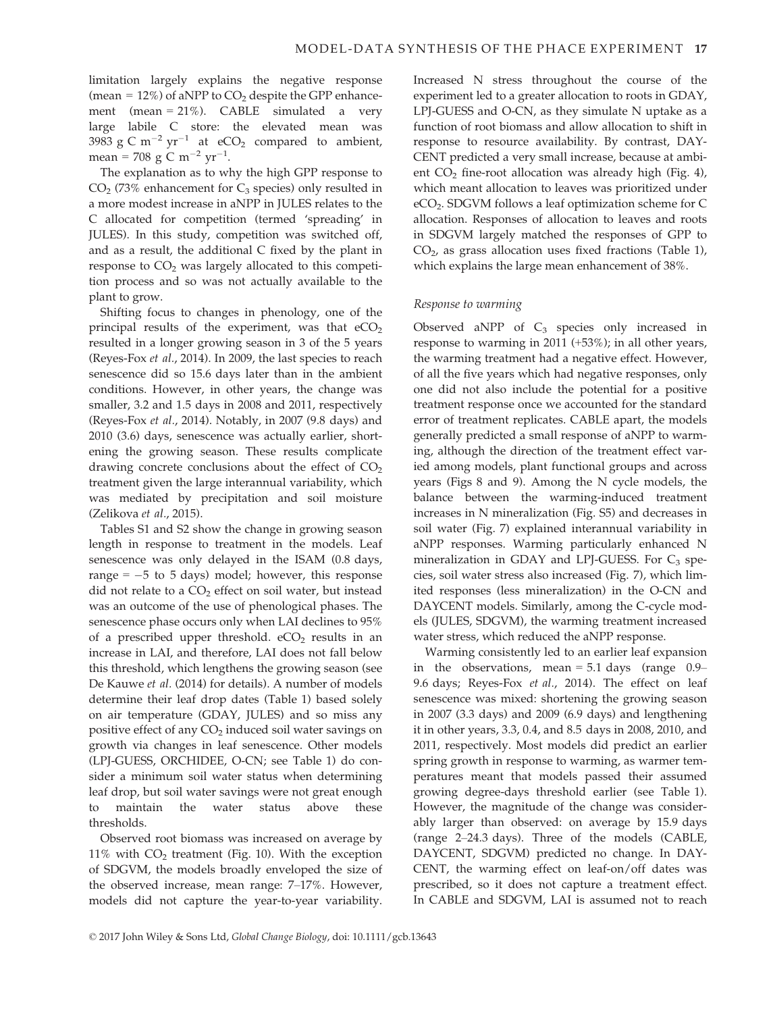limitation largely explains the negative response (mean =  $12\%$ ) of aNPP to CO<sub>2</sub> despite the GPP enhancement (mean = 21%). CABLE simulated a very large labile C store: the elevated mean was 3983 g C m<sup>-2</sup> yr<sup>-1</sup> at eCO<sub>2</sub> compared to ambient, mean = 708 g C m<sup>-2</sup> yr<sup>-1</sup>.

The explanation as to why the high GPP response to  $CO<sub>2</sub>$  (73% enhancement for  $C<sub>3</sub>$  species) only resulted in a more modest increase in aNPP in JULES relates to the C allocated for competition (termed 'spreading' in JULES). In this study, competition was switched off, and as a result, the additional C fixed by the plant in response to  $CO<sub>2</sub>$  was largely allocated to this competition process and so was not actually available to the plant to grow.

Shifting focus to changes in phenology, one of the principal results of the experiment, was that  $eCO<sub>2</sub>$ resulted in a longer growing season in 3 of the 5 years (Reyes-Fox et al., 2014). In 2009, the last species to reach senescence did so 15.6 days later than in the ambient conditions. However, in other years, the change was smaller, 3.2 and 1.5 days in 2008 and 2011, respectively (Reyes-Fox et al., 2014). Notably, in 2007 (9.8 days) and 2010 (3.6) days, senescence was actually earlier, shortening the growing season. These results complicate drawing concrete conclusions about the effect of  $CO<sub>2</sub>$ treatment given the large interannual variability, which was mediated by precipitation and soil moisture (Zelikova et al., 2015).

Tables S1 and S2 show the change in growing season length in response to treatment in the models. Leaf senescence was only delayed in the ISAM (0.8 days, range  $= -5$  to 5 days) model; however, this response did not relate to a  $CO<sub>2</sub>$  effect on soil water, but instead was an outcome of the use of phenological phases. The senescence phase occurs only when LAI declines to 95% of a prescribed upper threshold.  $eCO<sub>2</sub>$  results in an increase in LAI, and therefore, LAI does not fall below this threshold, which lengthens the growing season (see De Kauwe et al. (2014) for details). A number of models determine their leaf drop dates (Table 1) based solely on air temperature (GDAY, JULES) and so miss any positive effect of any CO<sub>2</sub> induced soil water savings on growth via changes in leaf senescence. Other models (LPJ-GUESS, ORCHIDEE, O-CN; see Table 1) do consider a minimum soil water status when determining leaf drop, but soil water savings were not great enough to maintain the water status above these thresholds.

Observed root biomass was increased on average by 11% with  $CO<sub>2</sub>$  treatment (Fig. 10). With the exception of SDGVM, the models broadly enveloped the size of the observed increase, mean range: 7–17%. However, models did not capture the year-to-year variability. Increased N stress throughout the course of the experiment led to a greater allocation to roots in GDAY, LPJ-GUESS and O-CN, as they simulate N uptake as a function of root biomass and allow allocation to shift in response to resource availability. By contrast, DAY-CENT predicted a very small increase, because at ambient  $CO<sub>2</sub>$  fine-root allocation was already high (Fig. 4), which meant allocation to leaves was prioritized under eCO2. SDGVM follows a leaf optimization scheme for C allocation. Responses of allocation to leaves and roots in SDGVM largely matched the responses of GPP to  $CO<sub>2</sub>$ , as grass allocation uses fixed fractions (Table 1), which explains the large mean enhancement of 38%.

# Response to warming

Observed aNPP of  $C_3$  species only increased in response to warming in 2011 (+53%); in all other years, the warming treatment had a negative effect. However, of all the five years which had negative responses, only one did not also include the potential for a positive treatment response once we accounted for the standard error of treatment replicates. CABLE apart, the models generally predicted a small response of aNPP to warming, although the direction of the treatment effect varied among models, plant functional groups and across years (Figs 8 and 9). Among the N cycle models, the balance between the warming-induced treatment increases in N mineralization (Fig. S5) and decreases in soil water (Fig. 7) explained interannual variability in aNPP responses. Warming particularly enhanced N mineralization in GDAY and LPI-GUESS. For  $C_3$  species, soil water stress also increased (Fig. 7), which limited responses (less mineralization) in the O-CN and DAYCENT models. Similarly, among the C-cycle models (JULES, SDGVM), the warming treatment increased water stress, which reduced the aNPP response.

Warming consistently led to an earlier leaf expansion in the observations, mean  $= 5.1$  days (range 0.9– 9.6 days; Reyes-Fox et al., 2014). The effect on leaf senescence was mixed: shortening the growing season in 2007 (3.3 days) and 2009 (6.9 days) and lengthening it in other years, 3.3, 0.4, and 8.5 days in 2008, 2010, and 2011, respectively. Most models did predict an earlier spring growth in response to warming, as warmer temperatures meant that models passed their assumed growing degree-days threshold earlier (see Table 1). However, the magnitude of the change was considerably larger than observed: on average by 15.9 days (range 2–24.3 days). Three of the models (CABLE, DAYCENT, SDGVM) predicted no change. In DAY-CENT, the warming effect on leaf-on/off dates was prescribed, so it does not capture a treatment effect. In CABLE and SDGVM, LAI is assumed not to reach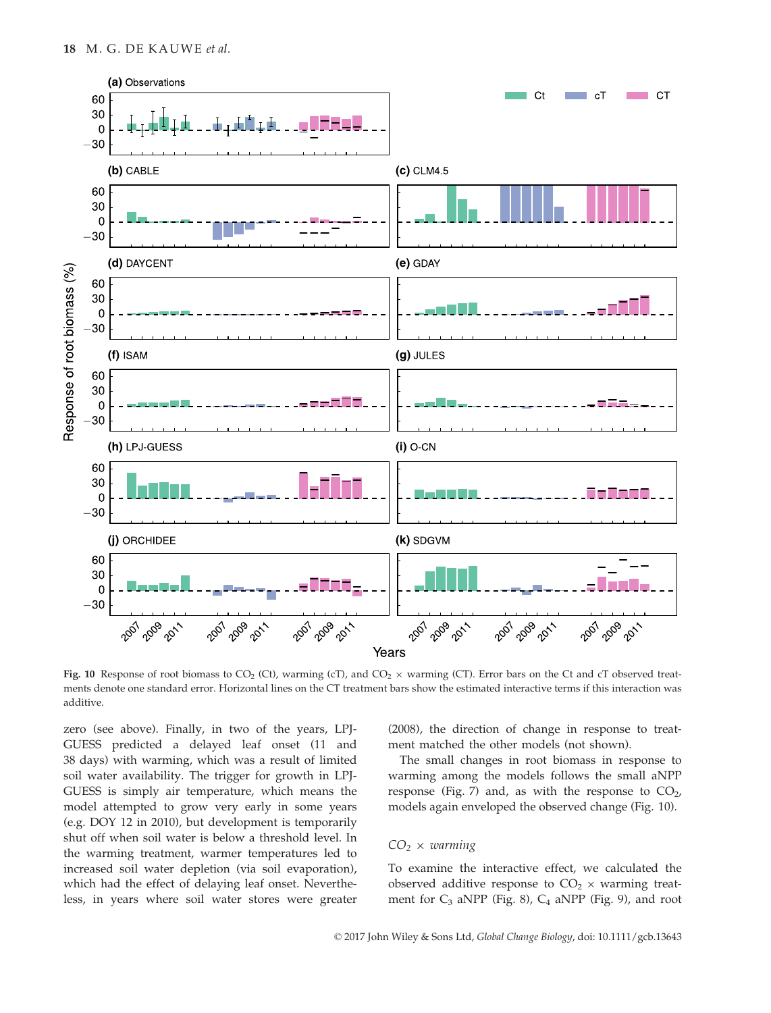

Fig. 10 Response of root biomass to CO<sub>2</sub> (Ct), warming (cT), and CO<sub>2</sub>  $\times$  warming (CT). Error bars on the Ct and cT observed treatments denote one standard error. Horizontal lines on the CT treatment bars show the estimated interactive terms if this interaction was additive.

zero (see above). Finally, in two of the years, LPJ-GUESS predicted a delayed leaf onset (11 and 38 days) with warming, which was a result of limited soil water availability. The trigger for growth in LPJ-GUESS is simply air temperature, which means the model attempted to grow very early in some years (e.g. DOY 12 in 2010), but development is temporarily shut off when soil water is below a threshold level. In the warming treatment, warmer temperatures led to increased soil water depletion (via soil evaporation), which had the effect of delaying leaf onset. Nevertheless, in years where soil water stores were greater (2008), the direction of change in response to treatment matched the other models (not shown).

The small changes in root biomass in response to warming among the models follows the small aNPP response (Fig. 7) and, as with the response to  $CO<sub>2</sub>$ , models again enveloped the observed change (Fig. 10).

# $CO<sub>2</sub> \times warning$

To examine the interactive effect, we calculated the observed additive response to  $CO<sub>2</sub> \times$  warming treatment for  $C_3$  aNPP (Fig. 8),  $C_4$  aNPP (Fig. 9), and root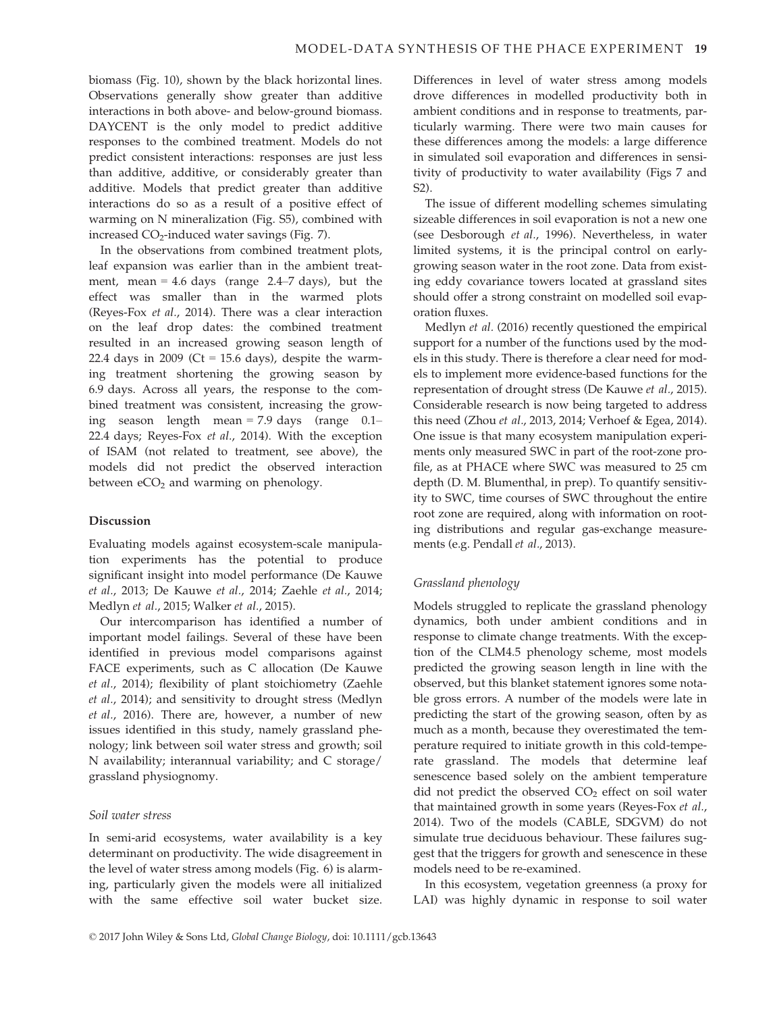biomass (Fig. 10), shown by the black horizontal lines. Observations generally show greater than additive interactions in both above- and below-ground biomass. DAYCENT is the only model to predict additive responses to the combined treatment. Models do not predict consistent interactions: responses are just less than additive, additive, or considerably greater than additive. Models that predict greater than additive interactions do so as a result of a positive effect of warming on N mineralization (Fig. S5), combined with increased  $CO<sub>2</sub>$ -induced water savings (Fig. 7).

In the observations from combined treatment plots, leaf expansion was earlier than in the ambient treatment, mean =  $4.6$  days (range  $2.4-7$  days), but the effect was smaller than in the warmed plots (Reyes-Fox et al., 2014). There was a clear interaction on the leaf drop dates: the combined treatment resulted in an increased growing season length of 22.4 days in 2009 (Ct = 15.6 days), despite the warming treatment shortening the growing season by 6.9 days. Across all years, the response to the combined treatment was consistent, increasing the growing season length mean = 7.9 days (range 0.1– 22.4 days; Reyes-Fox et al., 2014). With the exception of ISAM (not related to treatment, see above), the models did not predict the observed interaction between  $eCO<sub>2</sub>$  and warming on phenology.

# Discussion

Evaluating models against ecosystem-scale manipulation experiments has the potential to produce significant insight into model performance (De Kauwe et al., 2013; De Kauwe et al., 2014; Zaehle et al., 2014; Medlyn et al., 2015; Walker et al., 2015).

Our intercomparison has identified a number of important model failings. Several of these have been identified in previous model comparisons against FACE experiments, such as C allocation (De Kauwe et al., 2014); flexibility of plant stoichiometry (Zaehle et al., 2014); and sensitivity to drought stress (Medlyn et al., 2016). There are, however, a number of new issues identified in this study, namely grassland phenology; link between soil water stress and growth; soil N availability; interannual variability; and C storage/ grassland physiognomy.

# Soil water stress

In semi-arid ecosystems, water availability is a key determinant on productivity. The wide disagreement in the level of water stress among models (Fig. 6) is alarming, particularly given the models were all initialized with the same effective soil water bucket size. Differences in level of water stress among models drove differences in modelled productivity both in ambient conditions and in response to treatments, particularly warming. There were two main causes for these differences among the models: a large difference in simulated soil evaporation and differences in sensitivity of productivity to water availability (Figs 7 and S2).

The issue of different modelling schemes simulating sizeable differences in soil evaporation is not a new one (see Desborough et al., 1996). Nevertheless, in water limited systems, it is the principal control on earlygrowing season water in the root zone. Data from existing eddy covariance towers located at grassland sites should offer a strong constraint on modelled soil evaporation fluxes.

Medlyn et al. (2016) recently questioned the empirical support for a number of the functions used by the models in this study. There is therefore a clear need for models to implement more evidence-based functions for the representation of drought stress (De Kauwe et al., 2015). Considerable research is now being targeted to address this need (Zhou et al., 2013, 2014; Verhoef & Egea, 2014). One issue is that many ecosystem manipulation experiments only measured SWC in part of the root-zone profile, as at PHACE where SWC was measured to 25 cm depth (D. M. Blumenthal, in prep). To quantify sensitivity to SWC, time courses of SWC throughout the entire root zone are required, along with information on rooting distributions and regular gas-exchange measurements (e.g. Pendall et al., 2013).

# Grassland phenology

Models struggled to replicate the grassland phenology dynamics, both under ambient conditions and in response to climate change treatments. With the exception of the CLM4.5 phenology scheme, most models predicted the growing season length in line with the observed, but this blanket statement ignores some notable gross errors. A number of the models were late in predicting the start of the growing season, often by as much as a month, because they overestimated the temperature required to initiate growth in this cold-temperate grassland. The models that determine leaf senescence based solely on the ambient temperature did not predict the observed  $CO<sub>2</sub>$  effect on soil water that maintained growth in some years (Reyes-Fox et al., 2014). Two of the models (CABLE, SDGVM) do not simulate true deciduous behaviour. These failures suggest that the triggers for growth and senescence in these models need to be re-examined.

In this ecosystem, vegetation greenness (a proxy for LAI) was highly dynamic in response to soil water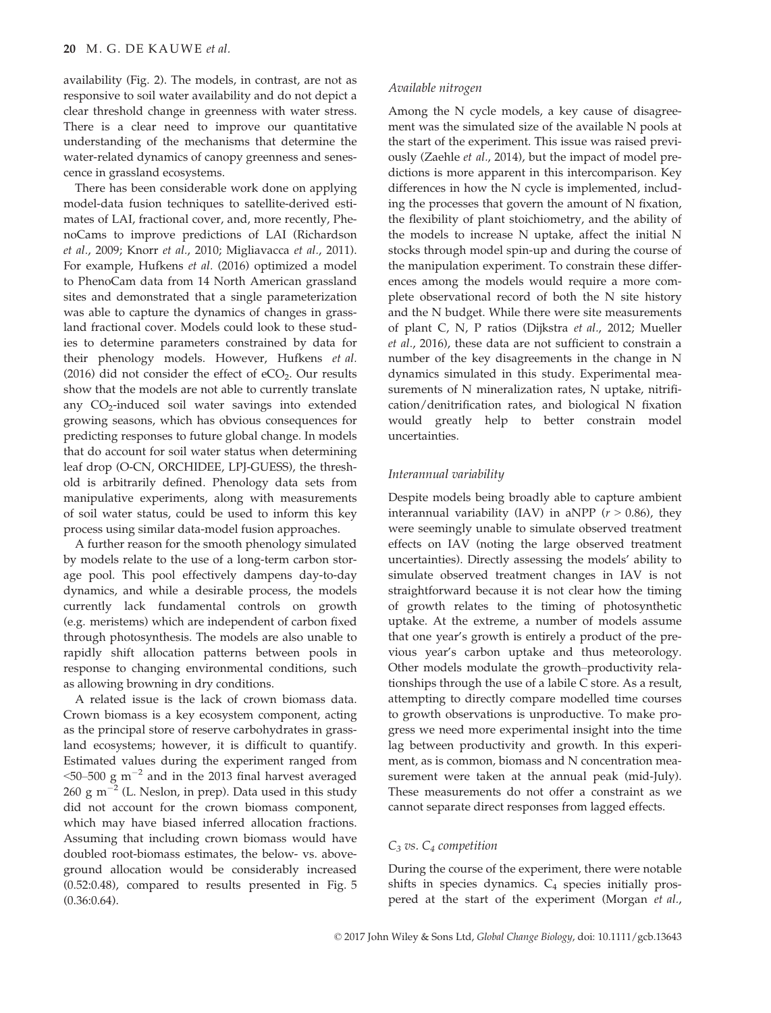availability (Fig. 2). The models, in contrast, are not as responsive to soil water availability and do not depict a clear threshold change in greenness with water stress. There is a clear need to improve our quantitative understanding of the mechanisms that determine the water-related dynamics of canopy greenness and senescence in grassland ecosystems.

There has been considerable work done on applying model-data fusion techniques to satellite-derived estimates of LAI, fractional cover, and, more recently, PhenoCams to improve predictions of LAI (Richardson et al., 2009; Knorr et al., 2010; Migliavacca et al., 2011). For example, Hufkens et al. (2016) optimized a model to PhenoCam data from 14 North American grassland sites and demonstrated that a single parameterization was able to capture the dynamics of changes in grassland fractional cover. Models could look to these studies to determine parameters constrained by data for their phenology models. However, Hufkens et al. (2016) did not consider the effect of  $eCO<sub>2</sub>$ . Our results show that the models are not able to currently translate any  $CO<sub>2</sub>$ -induced soil water savings into extended growing seasons, which has obvious consequences for predicting responses to future global change. In models that do account for soil water status when determining leaf drop (O-CN, ORCHIDEE, LPJ-GUESS), the threshold is arbitrarily defined. Phenology data sets from manipulative experiments, along with measurements of soil water status, could be used to inform this key process using similar data-model fusion approaches.

A further reason for the smooth phenology simulated by models relate to the use of a long-term carbon storage pool. This pool effectively dampens day-to-day dynamics, and while a desirable process, the models currently lack fundamental controls on growth (e.g. meristems) which are independent of carbon fixed through photosynthesis. The models are also unable to rapidly shift allocation patterns between pools in response to changing environmental conditions, such as allowing browning in dry conditions.

A related issue is the lack of crown biomass data. Crown biomass is a key ecosystem component, acting as the principal store of reserve carbohydrates in grassland ecosystems; however, it is difficult to quantify. Estimated values during the experiment ranged from  $50-500$  g m<sup>-2</sup> and in the 2013 final harvest averaged 260 g m<sup> $-2$ </sup> (L. Neslon, in prep). Data used in this study did not account for the crown biomass component, which may have biased inferred allocation fractions. Assuming that including crown biomass would have doubled root-biomass estimates, the below- vs. aboveground allocation would be considerably increased (0.52:0.48), compared to results presented in Fig. 5 (0.36:0.64).

#### Available nitrogen

Among the N cycle models, a key cause of disagreement was the simulated size of the available N pools at the start of the experiment. This issue was raised previously (Zaehle et al., 2014), but the impact of model predictions is more apparent in this intercomparison. Key differences in how the N cycle is implemented, including the processes that govern the amount of N fixation, the flexibility of plant stoichiometry, and the ability of the models to increase N uptake, affect the initial N stocks through model spin-up and during the course of the manipulation experiment. To constrain these differences among the models would require a more complete observational record of both the N site history and the N budget. While there were site measurements of plant C, N, P ratios (Dijkstra et al., 2012; Mueller et al., 2016), these data are not sufficient to constrain a number of the key disagreements in the change in N dynamics simulated in this study. Experimental measurements of N mineralization rates, N uptake, nitrification/denitrification rates, and biological N fixation would greatly help to better constrain model uncertainties.

#### Interannual variability

Despite models being broadly able to capture ambient interannual variability (IAV) in aNPP ( $r > 0.86$ ), they were seemingly unable to simulate observed treatment effects on IAV (noting the large observed treatment uncertainties). Directly assessing the models' ability to simulate observed treatment changes in IAV is not straightforward because it is not clear how the timing of growth relates to the timing of photosynthetic uptake. At the extreme, a number of models assume that one year's growth is entirely a product of the previous year's carbon uptake and thus meteorology. Other models modulate the growth–productivity relationships through the use of a labile C store. As a result, attempting to directly compare modelled time courses to growth observations is unproductive. To make progress we need more experimental insight into the time lag between productivity and growth. In this experiment, as is common, biomass and N concentration measurement were taken at the annual peak (mid-July). These measurements do not offer a constraint as we cannot separate direct responses from lagged effects.

# $C_3$  vs.  $C_4$  competition

During the course of the experiment, there were notable shifts in species dynamics.  $C_4$  species initially prospered at the start of the experiment (Morgan et al.,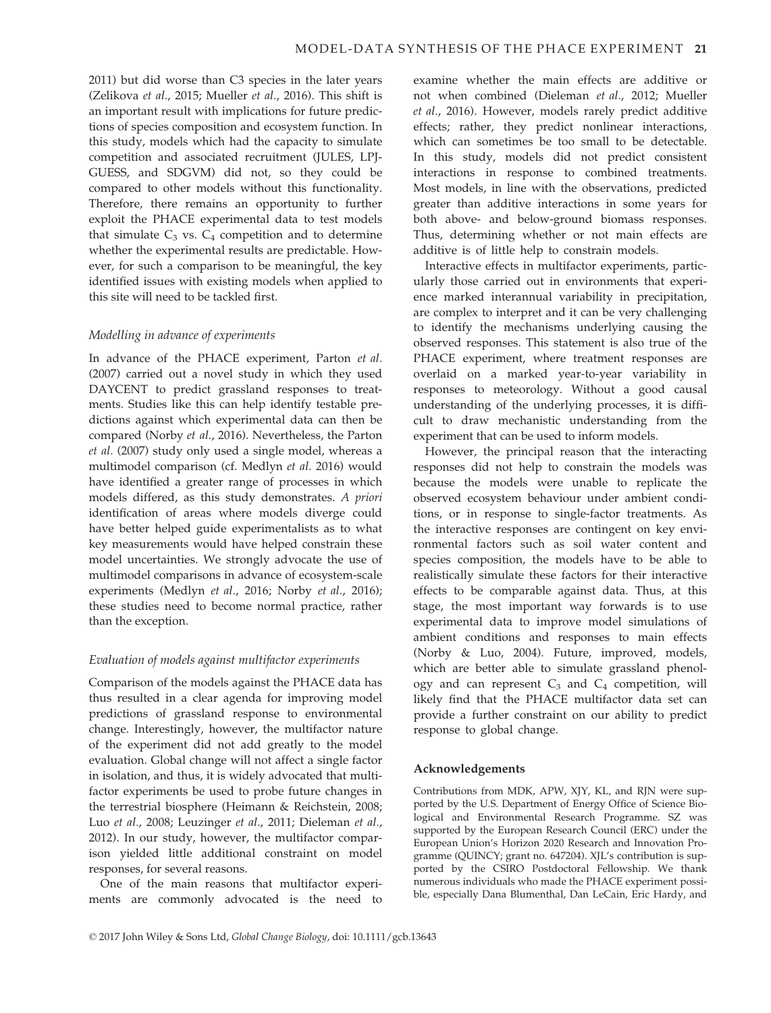2011) but did worse than C3 species in the later years (Zelikova et al., 2015; Mueller et al., 2016). This shift is an important result with implications for future predictions of species composition and ecosystem function. In this study, models which had the capacity to simulate competition and associated recruitment (JULES, LPJ-GUESS, and SDGVM) did not, so they could be compared to other models without this functionality. Therefore, there remains an opportunity to further exploit the PHACE experimental data to test models that simulate  $C_3$  vs.  $C_4$  competition and to determine whether the experimental results are predictable. However, for such a comparison to be meaningful, the key identified issues with existing models when applied to this site will need to be tackled first.

#### Modelling in advance of experiments

In advance of the PHACE experiment, Parton et al. (2007) carried out a novel study in which they used DAYCENT to predict grassland responses to treatments. Studies like this can help identify testable predictions against which experimental data can then be compared (Norby et al., 2016). Nevertheless, the Parton et al. (2007) study only used a single model, whereas a multimodel comparison (cf. Medlyn et al. 2016) would have identified a greater range of processes in which models differed, as this study demonstrates. A priori identification of areas where models diverge could have better helped guide experimentalists as to what key measurements would have helped constrain these model uncertainties. We strongly advocate the use of multimodel comparisons in advance of ecosystem-scale experiments (Medlyn et al., 2016; Norby et al., 2016); these studies need to become normal practice, rather than the exception.

#### Evaluation of models against multifactor experiments

Comparison of the models against the PHACE data has thus resulted in a clear agenda for improving model predictions of grassland response to environmental change. Interestingly, however, the multifactor nature of the experiment did not add greatly to the model evaluation. Global change will not affect a single factor in isolation, and thus, it is widely advocated that multifactor experiments be used to probe future changes in the terrestrial biosphere (Heimann & Reichstein, 2008; Luo et al., 2008; Leuzinger et al., 2011; Dieleman et al., 2012). In our study, however, the multifactor comparison yielded little additional constraint on model responses, for several reasons.

One of the main reasons that multifactor experiments are commonly advocated is the need to examine whether the main effects are additive or not when combined (Dieleman et al., 2012; Mueller et al., 2016). However, models rarely predict additive effects; rather, they predict nonlinear interactions, which can sometimes be too small to be detectable. In this study, models did not predict consistent interactions in response to combined treatments. Most models, in line with the observations, predicted greater than additive interactions in some years for both above- and below-ground biomass responses. Thus, determining whether or not main effects are additive is of little help to constrain models.

Interactive effects in multifactor experiments, particularly those carried out in environments that experience marked interannual variability in precipitation, are complex to interpret and it can be very challenging to identify the mechanisms underlying causing the observed responses. This statement is also true of the PHACE experiment, where treatment responses are overlaid on a marked year-to-year variability in responses to meteorology. Without a good causal understanding of the underlying processes, it is difficult to draw mechanistic understanding from the experiment that can be used to inform models.

However, the principal reason that the interacting responses did not help to constrain the models was because the models were unable to replicate the observed ecosystem behaviour under ambient conditions, or in response to single-factor treatments. As the interactive responses are contingent on key environmental factors such as soil water content and species composition, the models have to be able to realistically simulate these factors for their interactive effects to be comparable against data. Thus, at this stage, the most important way forwards is to use experimental data to improve model simulations of ambient conditions and responses to main effects (Norby & Luo, 2004). Future, improved, models, which are better able to simulate grassland phenology and can represent  $C_3$  and  $C_4$  competition, will likely find that the PHACE multifactor data set can provide a further constraint on our ability to predict response to global change.

#### Acknowledgements

Contributions from MDK, APW, XJY, KL, and RJN were supported by the U.S. Department of Energy Office of Science Biological and Environmental Research Programme. SZ was supported by the European Research Council (ERC) under the European Union's Horizon 2020 Research and Innovation Programme (QUINCY; grant no. 647204). XJL's contribution is supported by the CSIRO Postdoctoral Fellowship. We thank numerous individuals who made the PHACE experiment possible, especially Dana Blumenthal, Dan LeCain, Eric Hardy, and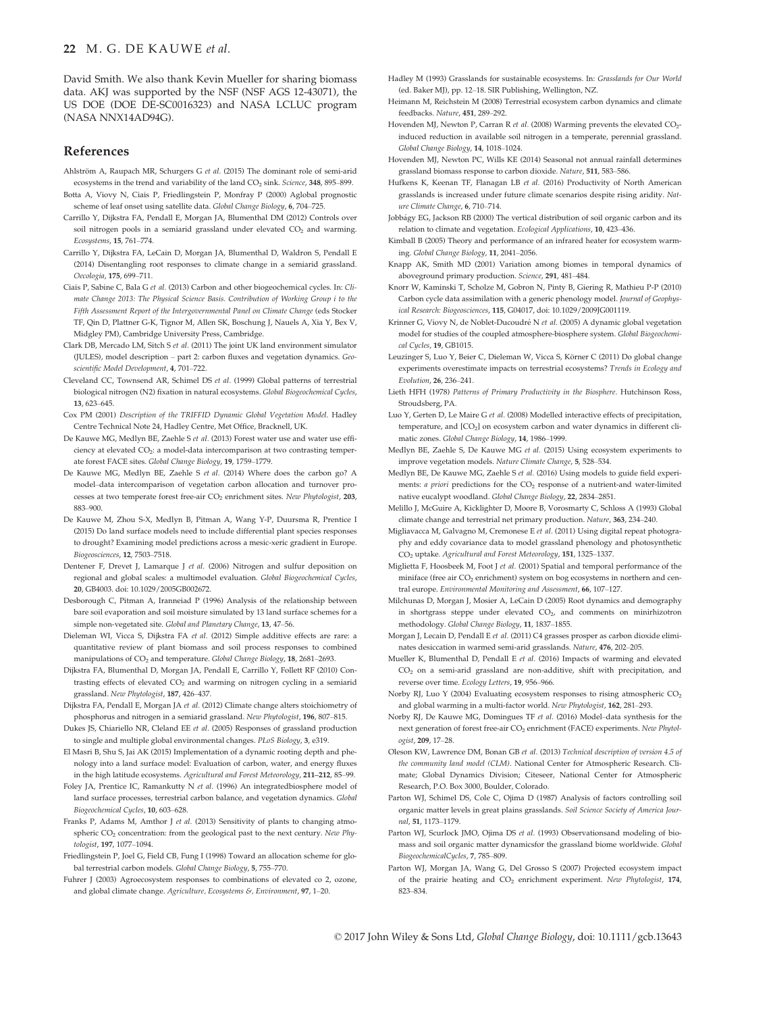## 22 M. G. DE KAUWE et al.

David Smith. We also thank Kevin Mueller for sharing biomass data. AKJ was supported by the NSF (NSF AGS 12-43071), the US DOE (DOE DE-SC0016323) and NASA LCLUC program (NASA NNX14AD94G).

## References

- Ahlström A, Raupach MR, Schurgers G et al. (2015) The dominant role of semi-arid ecosystems in the trend and variability of the land  $CO<sub>2</sub>$  sink. Science, 348, 895–899.
- Botta A, Viovy N, Ciais P, Friedlingstein P, Monfray P (2000) Aglobal prognostic scheme of leaf onset using satellite data. Global Change Biology, 6, 704–725.
- Carrillo Y, Dijkstra FA, Pendall E, Morgan JA, Blumenthal DM (2012) Controls over soil nitrogen pools in a semiarid grassland under elevated CO<sub>2</sub> and warming. Ecosystems, 15, 761–774.
- Carrillo Y, Dijkstra FA, LeCain D, Morgan JA, Blumenthal D, Waldron S, Pendall E (2014) Disentangling root responses to climate change in a semiarid grassland. Oecologia, 175, 699–711.
- Ciais P, Sabine C, Bala G et al. (2013) Carbon and other biogeochemical cycles. In: Climate Change 2013: The Physical Science Basis. Contribution of Working Group i to the Fifth Assessment Report of the Intergovernmental Panel on Climate Change (eds Stocker TF, Qin D, Plattner G-K, Tignor M, Allen SK, Boschung J, Nauels A, Xia Y, Bex V, Midgley PM), Cambridge University Press, Cambridge.
- Clark DB, Mercado LM, Sitch S et al. (2011) The joint UK land environment simulator (JULES), model description – part 2: carbon fluxes and vegetation dynamics. Geoscientific Model Development, 4, 701–722.
- Cleveland CC, Townsend AR, Schimel DS et al. (1999) Global patterns of terrestrial biological nitrogen (N2) fixation in natural ecosystems. Global Biogeochemical Cycles, 13, 623–645.
- Cox PM (2001) Description of the TRIFFID Dynamic Global Vegetation Model. Hadley Centre Technical Note 24, Hadley Centre, Met Office, Bracknell, UK.
- De Kauwe MG, Medlyn BE, Zaehle S et al. (2013) Forest water use and water use efficiency at elevated CO2: a model-data intercomparison at two contrasting temperate forest FACE sites. Global Change Biology, 19, 1759–1779.
- De Kauwe MG, Medlyn BE, Zaehle S et al. (2014) Where does the carbon go? A model–data intercomparison of vegetation carbon allocation and turnover processes at two temperate forest free-air CO<sub>2</sub> enrichment sites. New Phytologist, 203, 883–900.
- De Kauwe M, Zhou S-X, Medlyn B, Pitman A, Wang Y-P, Duursma R, Prentice I (2015) Do land surface models need to include differential plant species responses to drought? Examining model predictions across a mesic-xeric gradient in Europe. Biogeosciences, 12, 7503–7518.
- Dentener F, Drevet J, Lamarque J et al. (2006) Nitrogen and sulfur deposition on regional and global scales: a multimodel evaluation. Global Biogeochemical Cycles, 20, GB4003. doi: [10.1029/2005GB002672.](https://doi.org/10.1029/2005GB002672)
- Desborough C, Pitman A, Iranneiad P (1996) Analysis of the relationship between bare soil evaporation and soil moisture simulated by 13 land surface schemes for a simple non-vegetated site. Global and Planetary Change, 13, 47–56.
- Dieleman WI, Vicca S, Dijkstra FA et al. (2012) Simple additive effects are rare: a quantitative review of plant biomass and soil process responses to combined manipulations of CO<sub>2</sub> and temperature. Global Change Biology, 18, 2681-2693.
- Dijkstra FA, Blumenthal D, Morgan JA, Pendall E, Carrillo Y, Follett RF (2010) Contrasting effects of elevated CO<sub>2</sub> and warming on nitrogen cycling in a semiarid grassland. New Phytologist, 187, 426–437.
- Dijkstra FA, Pendall E, Morgan JA et al. (2012) Climate change alters stoichiometry of phosphorus and nitrogen in a semiarid grassland. New Phytologist, 196, 807–815.
- Dukes JS, Chiariello NR, Cleland EE et al. (2005) Responses of grassland production to single and multiple global environmental changes. PLoS Biology, 3, e319.
- El Masri B, Shu S, Jai AK (2015) Implementation of a dynamic rooting depth and phenology into a land surface model: Evaluation of carbon, water, and energy fluxes in the high latitude ecosystems. Agricultural and Forest Meteorology, 211–212, 85–99.
- Foley JA, Prentice IC, Ramankutty N et al. (1996) An integratedbiosphere model of land surface processes, terrestrial carbon balance, and vegetation dynamics. Global Biogeochemical Cycles, 10, 603–628.
- Franks P, Adams M, Amthor J et al. (2013) Sensitivity of plants to changing atmospheric CO<sub>2</sub> concentration: from the geological past to the next century. New Phytologist, 197, 1077–1094.
- Friedlingstein P, Joel G, Field CB, Fung I (1998) Toward an allocation scheme for global terrestrial carbon models. Global Change Biology, 5, 755–770.
- Fuhrer J (2003) Agroecosystem responses to combinations of elevated co 2, ozone, and global climate change. Agriculture, Ecosystems &, Environment, 97, 1–20.
- Hadley M (1993) Grasslands for sustainable ecosystems. In: Grasslands for Our World (ed. Baker MJ), pp. 12–18. SIR Publishing, Wellington, NZ.
- Heimann M, Reichstein M (2008) Terrestrial ecosystem carbon dynamics and climate feedbacks. Nature, 451, 289–292.
- Hovenden MJ, Newton P, Carran R et al. (2008) Warming prevents the elevated CO<sub>2</sub>induced reduction in available soil nitrogen in a temperate, perennial grassland. Global Change Biology, 14, 1018–1024.
- Hovenden MJ, Newton PC, Wills KE (2014) Seasonal not annual rainfall determines grassland biomass response to carbon dioxide. Nature, 511, 583–586.
- Hufkens K, Keenan TF, Flanagan LB et al. (2016) Productivity of North American grasslands is increased under future climate scenarios despite rising aridity. Nature Climate Change, 6, 710–714.
- Jobbágy EG, Jackson RB (2000) The vertical distribution of soil organic carbon and its relation to climate and vegetation. Ecological Applications, 10, 423–436.
- Kimball B (2005) Theory and performance of an infrared heater for ecosystem warming. Global Change Biology, 11, 2041–2056.
- Knapp AK, Smith MD (2001) Variation among biomes in temporal dynamics of aboveground primary production. Science, 291, 481–484.
- Knorr W, Kaminski T, Scholze M, Gobron N, Pinty B, Giering R, Mathieu P-P (2010) Carbon cycle data assimilation with a generic phenology model. Journal of Geophysical Research: Biogeosciences, 115, G04017, doi: [10.1029/2009JG001119.](https://doi.org/10.1029/2009JG001119)
- Krinner G, Viovy N, de Noblet-Ducoudré N *et al.* (2005) A dynamic global vegetation model for studies of the coupled atmosphere-biosphere system. Global Biogeochemical Cycles, 19, GB1015.
- Leuzinger S, Luo Y, Beier C, Dieleman W, Vicca S, Körner C (2011) Do global change experiments overestimate impacts on terrestrial ecosystems? Trends in Ecology and Evolution, 26, 236–241.
- Lieth HFH (1978) Patterns of Primary Productivity in the Biosphere. Hutchinson Ross, Stroudsberg, PA.
- Luo Y, Gerten D, Le Maire G et al. (2008) Modelled interactive effects of precipitation, temperature, and [CO<sub>2</sub>] on ecosystem carbon and water dynamics in different climatic zones. Global Change Biology, 14, 1986-1999
- Medlyn BE, Zaehle S, De Kauwe MG et al. (2015) Using ecosystem experiments to improve vegetation models. Nature Climate Change, 5, 528–534.
- Medlyn BE, De Kauwe MG, Zaehle S et al. (2016) Using models to guide field experiments:  $a$  priori predictions for the  $CO<sub>2</sub>$  response of a nutrient-and water-limited native eucalypt woodland. Global Change Biology, 22, 2834–2851.
- Melillo J, McGuire A, Kicklighter D, Moore B, Vorosmarty C, Schloss A (1993) Global climate change and terrestrial net primary production. Nature, 363, 234–240.
- Migliavacca M, Galvagno M, Cremonese E et al. (2011) Using digital repeat photography and eddy covariance data to model grassland phenology and photosynthetic CO2 uptake. Agricultural and Forest Meteorology, 151, 1325–1337.
- Miglietta F, Hoosbeek M, Foot J et al. (2001) Spatial and temporal performance of the miniface (free air CO<sub>2</sub> enrichment) system on bog ecosystems in northern and central europe. Environmental Monitoring and Assessment, 66, 107–127.
- Milchunas D, Morgan J, Mosier A, LeCain D (2005) Root dynamics and demography in shortgrass steppe under elevated  $CO<sub>2</sub>$ , and comments on minirhizotron methodology. Global Change Biology, 11, 1837–1855.
- Morgan J, Lecain D, Pendall E et al. (2011) C4 grasses prosper as carbon dioxide eliminates desiccation in warmed semi-arid grasslands. Nature, 476, 202–205.
- Mueller K, Blumenthal D, Pendall E et al. (2016) Impacts of warming and elevated CO2 on a semi-arid grassland are non-additive, shift with precipitation, and reverse over time. Ecology Letters, 19, 956–966.
- Norby RJ, Luo Y (2004) Evaluating ecosystem responses to rising atmospheric  $CO<sub>2</sub>$ and global warming in a multi-factor world. New Phytologist, 162, 281–293.
- Norby RJ, De Kauwe MG, Domingues TF et al. (2016) Model–data synthesis for the next generation of forest free-air CO<sub>2</sub> enrichment (FACE) experiments. New Phytologist, 209, 17–28.
- Oleson KW, Lawrence DM, Bonan GB et al. (2013) Technical description of version 4.5 of the community land model (CLM). National Center for Atmospheric Research. Climate; Global Dynamics Division; Citeseer, National Center for Atmospheric Research, P.O. Box 3000, Boulder, Colorado.
- Parton WJ, Schimel DS, Cole C, Ojima D (1987) Analysis of factors controlling soil organic matter levels in great plains grasslands. Soil Science Society of America Journal, 51, 1173–1179.
- Parton WJ, Scurlock JMO, Ojima DS et al. (1993) Observationsand modeling of biomass and soil organic matter dynamicsfor the grassland biome worldwide. Global BiogeochemicalCycles, 7, 785–809.
- Parton WJ, Morgan JA, Wang G, Del Grosso S (2007) Projected ecosystem impact of the prairie heating and  $CO<sub>2</sub>$  enrichment experiment. New Phytologist, 174, 823–834.